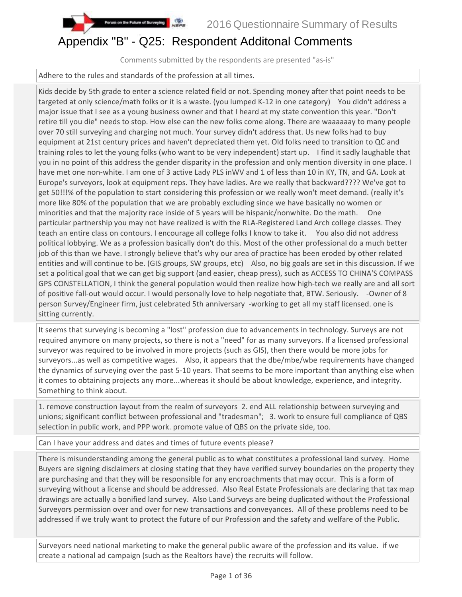# Appendix "B" - Q25: Respondent Additonal Comments

Comments submitted by the respondents are presented "as-is"

Adhere to the rules and standards of the profession at all times.

on the Future of Surveying

Kids decide by 5th grade to enter a science related field or not. Spending money after that point needs to be targeted at only science/math folks or it is a waste. (you lumped K-12 in one category) You didn't address a major issue that I see as a young business owner and that I heard at my state convention this year. "Don't retire till you die" needs to stop. How else can the new folks come along. There are waaaaaay to many people over 70 still surveying and charging not much. Your survey didn't address that. Us new folks had to buy equipment at 21st century prices and haven't depreciated them yet. Old folks need to transition to QC and training roles to let the young folks (who want to be very independent) start up. I find it sadly laughable that you in no point of this address the gender disparity in the profession and only mention diversity in one place. I have met one non-white. I am one of 3 active Lady PLS inWV and 1 of less than 10 in KY, TN, and GA. Look at Europe's surveyors, look at equipment reps. They have ladies. Are we really that backward???? We've got to get 50!!!% of the population to start considering this profession or we really won't meet demand. (really it's more like 80% of the population that we are probably excluding since we have basically no women or minorities and that the majority race inside of 5 years will be hispanic/nonwhite. Do the math. One particular partnership you may not have realized is with the RLA-Registered Land Arch college classes. They teach an entire class on contours. I encourage all college folks I know to take it. You also did not address political lobbying. We as a profession basically don't do this. Most of the other professional do a much better job of this than we have. I strongly believe that's why our area of practice has been eroded by other related entities and will continue to be. (GIS groups, SW groups, etc) Also, no big goals are set in this discussion. If we set a political goal that we can get big support (and easier, cheap press), such as ACCESS TO CHINA'S COMPASS GPS CONSTELLATION, I think the general population would then realize how high-tech we really are and all sort of positive fall-out would occur. I would personally love to help negotiate that, BTW. Seriously. -Owner of 8 person Survey/Engineer firm, just celebrated 5th anniversary -working to get all my staff licensed. one is sitting currently.

It seems that surveying is becoming a "lost" profession due to advancements in technology. Surveys are not required anymore on many projects, so there is not a "need" for as many surveyors. If a licensed professional surveyor was required to be involved in more projects (such as GIS), then there would be more jobs for surveyors...as well as competitive wages. Also, it appears that the dbe/mbe/wbe requirements have changed the dynamics of surveying over the past 5-10 years. That seems to be more important than anything else when it comes to obtaining projects any more...whereas it should be about knowledge, experience, and integrity. Something to think about.

1. remove construction layout from the realm of surveyors 2. end ALL relationship between surveying and unions; significant conflict between professional and "tradesman"; 3. work to ensure full compliance of QBS selection in public work, and PPP work. promote value of QBS on the private side, too.

Can I have your address and dates and times of future events please?

There is misunderstanding among the general public as to what constitutes a professional land survey. Home Buyers are signing disclaimers at closing stating that they have verified survey boundaries on the property they are purchasing and that they will be responsible for any encroachments that may occur. This is a form of surveying without a license and should be addressed. Also Real Estate Professionals are declaring that tax map drawings are actually a bonified land survey. Also Land Surveys are being duplicated without the Professional Surveyors permission over and over for new transactions and conveyances. All of these problems need to be addressed if we truly want to protect the future of our Profession and the safety and welfare of the Public.

Surveyors need national marketing to make the general public aware of the profession and its value. if we create a national ad campaign (such as the Realtors have) the recruits will follow.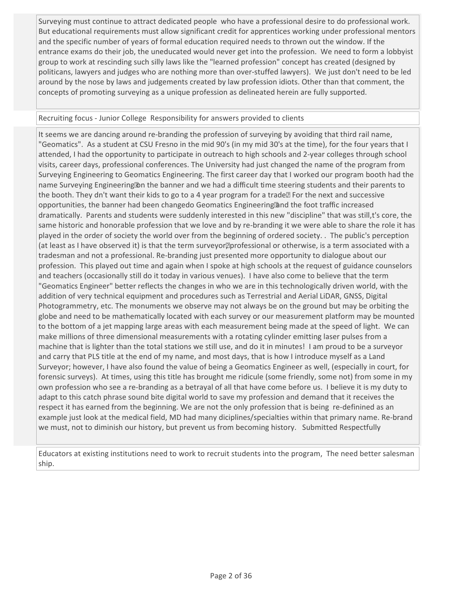Surveying must continue to attract dedicated people who have a professional desire to do professional work. But educational requirements must allow significant credit for apprentices working under professional mentors and the specific number of years of formal education required needs to thrown out the window. If the entrance exams do their job, the uneducated would never get into the profession. We need to form a lobbyist group to work at rescinding such silly laws like the "learned profession" concept has created (designed by politicans, lawyers and judges who are nothing more than over-stuffed lawyers). We just don't need to be led around by the nose by laws and judgements created by law profession idiots. Other than that comment, the concepts of promoting surveying as a unique profession as delineated herein are fully supported.

## Recruiting focus - Junior College Responsibility for answers provided to clients

It seems we are dancing around re-branding the profession of surveying by avoiding that third rail name, "Geomatics". As a student at CSU Fresno in the mid 90's (in my mid 30's at the time), for the four years that I attended, I had the opportunity to participate in outreach to high schools and 2-year colleges through school visits, career days, professional conferences. The University had just changed the name of the program from Surveying Engineering to Geomatics Engineering. The first career day that I worked our program booth had the name Surveying Engineering **D** the banner and we had a difficult time steering students and their parents to the booth. They dn't want their kids to go to a 4 year program for a trade. For the next and successive opportunities, the banner had been changedo Geomatics Engineering and the foot traffic increased dramatically. Parents and students were suddenly interested in this new "discipline" that was still,t's core, the same historic and honorable profession that we love and by re-branding it we were able to share the role it has played in the order of society the world over from the beginning of ordered society. . The public's perception (at least as I have observed it) is that the term surveyor. professional or otherwise, is a term associated with a tradesman and not a professional. Re-branding just presented more opportunity to dialogue about our profession. This played out time and again when I spoke at high schools at the request of guidance counselors and teachers (occasionally still do it today in various venues). I have also come to believe that the term "Geomatics Engineer" better reflects the changes in who we are in this technologically driven world, with the addition of very technical equipment and procedures such as Terrestrial and Aerial LiDAR, GNSS, Digital Photogrammetry, etc. The monuments we observe may not always be on the ground but may be orbiting the globe and need to be mathematically located with each survey or our measurement platform may be mounted to the bottom of a jet mapping large areas with each measurement being made at the speed of light. We can make millions of three dimensional measurements with a rotating cylinder emitting laser pulses from a machine that is lighter than the total stations we still use, and do it in minutes! I am proud to be a surveyor and carry that PLS title at the end of my name, and most days, that is how I introduce myself as a Land Surveyor; however, I have also found the value of being a Geomatics Engineer as well, (especially in court, for forensic surveys). At times, using this title has brought me ridicule (some friendly, some not) from some in my own profession who see a re-branding as a betrayal of all that have come before us. I believe it is my duty to adapt to this catch phrase sound bite digital world to save my profession and demand that it receives the respect it has earned from the beginning. We are not the only profession that is being re-definined as an example just look at the medical field, MD had many diciplines/specialties within that primary name. Re-brand we must, not to diminish our history, but prevent us from becoming history. Submitted Respectfully

Educators at existing institutions need to work to recruit students into the program, The need better salesman ship.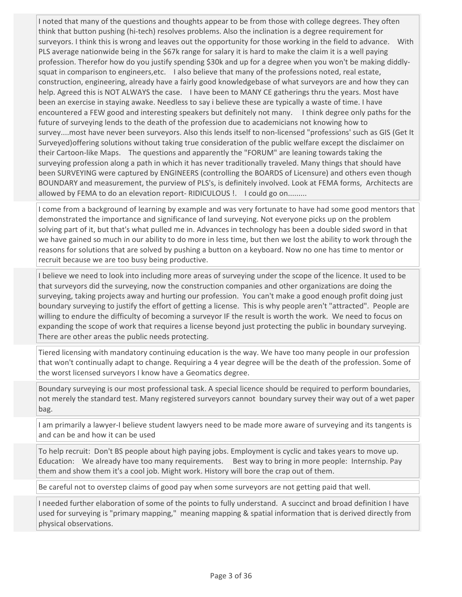I noted that many of the questions and thoughts appear to be from those with college degrees. They often think that button pushing (hi-tech) resolves problems. Also the inclination is a degree requirement for surveyors. I think this is wrong and leaves out the opportunity for those working in the field to advance. With PLS average nationwide being in the \$67k range for salary it is hard to make the claim it is a well paying profession. Therefor how do you justify spending \$30k and up for a degree when you won't be making diddlysquat in comparison to engineers, etc. I also believe that many of the professions noted, real estate, construction, engineering, already have a fairly good knowledgebase of what surveyors are and how they can help. Agreed this is NOT ALWAYS the case. I have been to MANY CE gatherings thru the years. Most have been an exercise in staying awake. Needless to say i believe these are typically a waste of time. I have encountered a FEW good and interesting speakers but definitely not many. I think degree only paths for the future of surveying lends to the death of the profession due to academicians not knowing how to survey....most have never been surveyors. Also this lends itself to non-licensed "professions' such as GIS (Get It Surveyed)offering solutions without taking true consideration of the public welfare except the disclaimer on their Cartoon-like Maps. The questions and apparently the "FORUM" are leaning towards taking the surveying profession along a path in which it has never traditionally traveled. Many things that should have been SURVEYING were captured by ENGINEERS (controlling the BOARDS of Licensure) and others even though BOUNDARY and measurement, the purview of PLS's, is definitely involved. Look at FEMA forms, Architects are allowed by FEMA to do an elevation report- RIDICULOUS !. I could go on.........

I come from a background of learning by example and was very fortunate to have had some good mentors that demonstrated the importance and significance of land surveying. Not everyone picks up on the problem solving part of it, but that's what pulled me in. Advances in technology has been a double sided sword in that we have gained so much in our ability to do more in less time, but then we lost the ability to work through the reasons for solutions that are solved by pushing a button on a keyboard. Now no one has time to mentor or recruit because we are too busy being productive.

I believe we need to look into including more areas of surveying under the scope of the licence. It used to be that surveyors did the surveying, now the construction companies and other organizations are doing the surveying, taking projects away and hurting our profession. You can't make a good enough profit doing just boundary surveying to justify the effort of getting a license. This is why people aren't "attracted". People are willing to endure the difficulty of becoming a surveyor IF the result is worth the work. We need to focus on expanding the scope of work that requires a license beyond just protecting the public in boundary surveying. There are other areas the public needs protecting.

Tiered licensing with mandatory continuing education is the way. We have too many people in our profession that won't continually adapt to change. Requiring a 4 year degree will be the death of the profession. Some of the worst licensed surveyors I know have a Geomatics degree.

Boundary surveying is our most professional task. A special licence should be required to perform boundaries, not merely the standard test. Many registered surveyors cannot boundary survey their way out of a wet paper bag.

I am primarily a lawyer-I believe student lawyers need to be made more aware of surveying and its tangents is and can be and how it can be used

To help recruit: Don't BS people about high paying jobs. Employment is cyclic and takes years to move up. Education: We already have too many requirements. Best way to bring in more people: Internship. Pay them and show them it's a cool job. Might work. History will bore the crap out of them.

Be careful not to overstep claims of good pay when some surveyors are not getting paid that well.

I needed further elaboration of some of the points to fully understand. A succinct and broad definition I have used for surveying is "primary mapping," meaning mapping & spatial information that is derived directly from physical observations.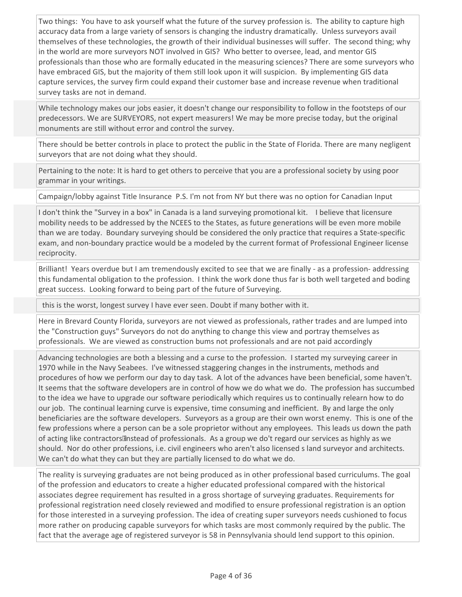Two things: You have to ask yourself what the future of the survey profession is. The ability to capture high accuracy data from a large variety of sensors is changing the industry dramatically. Unless surveyors avail themselves of these technologies, the growth of their individual businesses will suffer. The second thing; why in the world are more surveyors NOT involved in GIS? Who better to oversee, lead, and mentor GIS professionals than those who are formally educated in the measuring sciences? There are some surveyors who have embraced GIS, but the majority of them still look upon it will suspicion. By implementing GIS data capture services, the survey firm could expand their customer base and increase revenue when traditional survey tasks are not in demand.

While technology makes our jobs easier, it doesn't change our responsibility to follow in the footsteps of our predecessors. We are SURVEYORS, not expert measurers! We may be more precise today, but the original monuments are still without error and control the survey.

There should be better controls in place to protect the public in the State of Florida. There are many negligent surveyors that are not doing what they should.

Pertaining to the note: It is hard to get others to perceive that you are a professional society by using poor grammar in your writings.

Campaign/lobby against Title Insurance P.S. I'm not from NY but there was no option for Canadian Input

I don't think the "Survey in a box" in Canada is a land surveying promotional kit. I believe that licensure mobility needs to be addressed by the NCEES to the States, as future generations will be even more mobile than we are today. Boundary surveying should be considered the only practice that requires a State-specific exam, and non-boundary practice would be a modeled by the current format of Professional Engineer license reciprocity.

Brilliant! Years overdue but I am tremendously excited to see that we are finally - as a profession- addressing this fundamental obligation to the profession. I think the work done thus far is both well targeted and boding great success. Looking forward to being part of the future of Surveying.

this is the worst, longest survey I have ever seen. Doubt if many bother with it.

Here in Brevard County Florida, surveyors are not viewed as professionals, rather trades and are lumped into the "Construction guys" Surveyors do not do anything to change this view and portray themselves as professionals. We are viewed as construction bums not professionals and are not paid accordingly

Advancing technologies are both a blessing and a curse to the profession. I started my surveying career in 1970 while in the Navy Seabees. I've witnessed staggering changes in the instruments, methods and procedures of how we perform our day to day task. A lot of the advances have been beneficial, some haven't. It seems that the software developers are in control of how we do what we do. The profession has succumbed to the idea we have to upgrade our software periodically which requires us to continually relearn how to do our job. The continual learning curve is expensive, time consuming and inefficient. By and large the only beneficiaries are the software developers. Surveyors as a group are their own worst enemy. This is one of the few professions where a person can be a sole proprietor without any employees. This leads us down the path of acting like contractors anstead of professionals. As a group we do't regard our services as highly as we should. Nor do other professions, i.e. civil engineers who aren't also licensed s land surveyor and architects. We can't do what they can but they are partially licensed to do what we do.

The reality is surveying graduates are not being produced as in other professional based curriculums. The goal of the profession and educators to create a higher educated professional compared with the historical associates degree requirement has resulted in a gross shortage of surveying graduates. Requirements for professional registration need closely reviewed and modified to ensure professional registration is an option for those interested in a surveying profession. The idea of creating super surveyors needs cushioned to focus more rather on producing capable surveyors for which tasks are most commonly required by the public. The fact that the average age of registered surveyor is 58 in Pennsylvania should lend support to this opinion.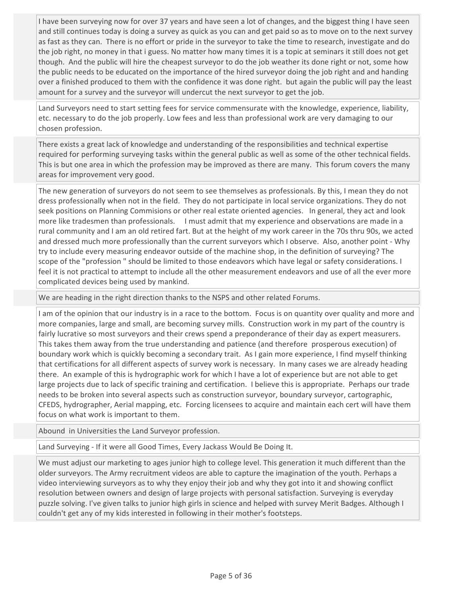I have been surveying now for over 37 years and have seen a lot of changes, and the biggest thing I have seen and still continues today is doing a survey as quick as you can and get paid so as to move on to the next survey as fast as they can. There is no effort or pride in the surveyor to take the time to research, investigate and do the job right, no money in that i guess. No matter how many times it is a topic at seminars it still does not get though. And the public will hire the cheapest surveyor to do the job weather its done right or not, some how the public needs to be educated on the importance of the hired surveyor doing the job right and and handing over a finished produced to them with the confidence it was done right. but again the public will pay the least amount for a survey and the surveyor will undercut the next surveyor to get the job.

Land Surveyors need to start setting fees for service commensurate with the knowledge, experience, liability, etc. necessary to do the job properly. Low fees and less than professional work are very damaging to our chosen profession.

There exists a great lack of knowledge and understanding of the responsibilities and technical expertise required for performing surveying tasks within the general public as well as some of the other technical fields. This is but one area in which the profession may be improved as there are many. This forum covers the many areas for improvement very good.

The new generation of surveyors do not seem to see themselves as professionals. By this, I mean they do not dress professionally when not in the field. They do not participate in local service organizations. They do not seek positions on Planning Commisions or other real estate oriented agencies. In general, they act and look more like tradesmen than professionals. I must admit that my experience and observations are made in a rural community and I am an old retired fart. But at the height of my work career in the 70s thru 90s, we acted and dressed much more professionally than the current surveyors which I observe. Also, another point - Why try to include every measuring endeavor outside of the machine shop, in the definition of surveying? The scope of the "profession " should be limited to those endeavors which have legal or safety considerations. I feel it is not practical to attempt to include all the other measurement endeavors and use of all the ever more complicated devices being used by mankind.

We are heading in the right direction thanks to the NSPS and other related Forums.

I am of the opinion that our industry is in a race to the bottom. Focus is on quantity over quality and more and more companies, large and small, are becoming survey mills. Construction work in my part of the country is fairly lucrative so most surveyors and their crews spend a preponderance of their day as expert measurers. This takes them away from the true understanding and patience (and therefore prosperous execution) of boundary work which is quickly becoming a secondary trait. As I gain more experience, I find myself thinking that certifications for all different aspects of survey work is necessary. In many cases we are already heading there. An example of this is hydrographic work for which I have a lot of experience but are not able to get large projects due to lack of specific training and certification. I believe this is appropriate. Perhaps our trade needs to be broken into several aspects such as construction surveyor, boundary surveyor, cartographic, CFEDS, hydrographer, Aerial mapping, etc. Forcing licensees to acquire and maintain each cert will have them focus on what work is important to them.

Abound in Universities the Land Surveyor profession.

Land Surveying - If it were all Good Times, Every Jackass Would Be Doing It.

We must adjust our marketing to ages junior high to college level. This generation it much different than the older surveyors. The Army recruitment videos are able to capture the imagination of the youth. Perhaps a video interviewing surveyors as to why they enjoy their job and why they got into it and showing conflict resolution between owners and design of large projects with personal satisfaction. Surveying is everyday puzzle solving. I've given talks to junior high girls in science and helped with survey Merit Badges. Although I couldn't get any of my kids interested in following in their mother's footsteps.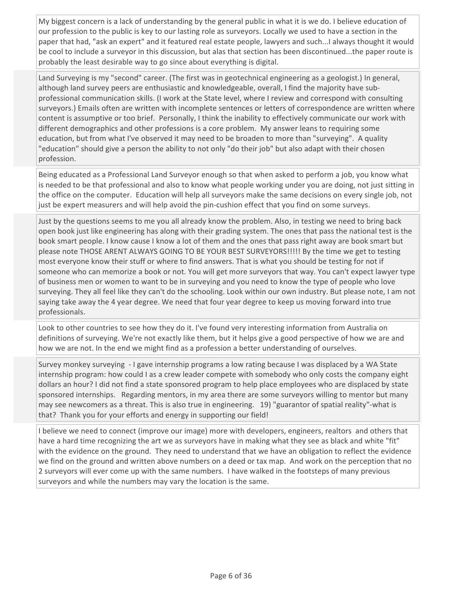My biggest concern is a lack of understanding by the general public in what it is we do. I believe education of our profession to the public is key to our lasting role as surveyors. Locally we used to have a section in the paper that had, "ask an expert" and it featured real estate people, lawyers and such...I always thought it would be cool to include a surveyor in this discussion, but alas that section has been discontinued...the paper route is probably the least desirable way to go since about everything is digital.

Land Surveying is my "second" career. (The first was in geotechnical engineering as a geologist.) In general, although land survey peers are enthusiastic and knowledgeable, overall, I find the majority have subprofessional communication skills. (I work at the State level, where I review and correspond with consulting surveyors.) Emails often are written with incomplete sentences or letters of correspondence are written where content is assumptive or too brief. Personally, I think the inability to effectively communicate our work with different demographics and other professions is a core problem. My answer leans to requiring some education, but from what I've observed it may need to be broaden to more than "surveying". A quality "education" should give a person the ability to not only "do their job" but also adapt with their chosen profession.

Being educated as a Professional Land Surveyor enough so that when asked to perform a job, you know what is needed to be that professional and also to know what people working under you are doing, not just sitting in the office on the computer. Education will help all surveyors make the same decisions on every single job, not just be expert measurers and will help avoid the pin-cushion effect that you find on some surveys.

Just by the questions seems to me you all already know the problem. Also, in testing we need to bring back open book just like engineering has along with their grading system. The ones that pass the national test is the book smart people. I know cause I know a lot of them and the ones that pass right away are book smart but please note THOSE ARENT ALWAYS GOING TO BE YOUR BEST SURVEYORS!!!!! By the time we get to testing most everyone know their stuff or where to find answers. That is what you should be testing for not if someone who can memorize a book or not. You will get more surveyors that way. You can't expect lawyer type of business men or women to want to be in surveying and you need to know the type of people who love surveying. They all feel like they can't do the schooling. Look within our own industry. But please note, I am not saying take away the 4 year degree. We need that four year degree to keep us moving forward into true professionals.

Look to other countries to see how they do it. I've found very interesting information from Australia on definitions of surveying. We're not exactly like them, but it helps give a good perspective of how we are and how we are not. In the end we might find as a profession a better understanding of ourselves.

Survey monkey surveying - I gave internship programs a low rating because I was displaced by a WA State internship program: how could I as a crew leader compete with somebody who only costs the company eight dollars an hour? I did not find a state sponsored program to help place employees who are displaced by state sponsored internships. Regarding mentors, in my area there are some surveyors willing to mentor but many may see newcomers as a threat. This is also true in engineering. 19) "guarantor of spatial reality"-what is that? Thank you for your efforts and energy in supporting our field!

I believe we need to connect (improve our image) more with developers, engineers, realtors and others that have a hard time recognizing the art we as surveyors have in making what they see as black and white "fit" with the evidence on the ground. They need to understand that we have an obligation to reflect the evidence we find on the ground and written above numbers on a deed or tax map. And work on the perception that no 2 surveyors will ever come up with the same numbers. I have walked in the footsteps of many previous surveyors and while the numbers may vary the location is the same.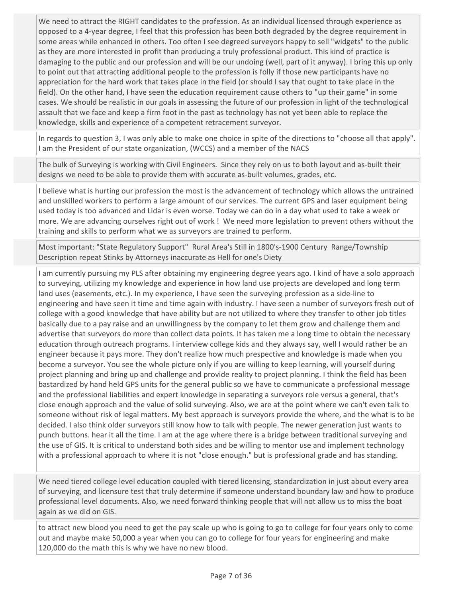We need to attract the RIGHT candidates to the profession. As an individual licensed through experience as opposed to a 4-year degree, I feel that this profession has been both degraded by the degree requirement in some areas while enhanced in others. Too often I see degreed surveyors happy to sell "widgets" to the public as they are more interested in profit than producing a truly professional product. This kind of practice is damaging to the public and our profession and will be our undoing (well, part of it anyway). I bring this up only to point out that attracting additional people to the profession is folly if those new participants have no appreciation for the hard work that takes place in the field (or should I say that ought to take place in the field). On the other hand, I have seen the education requirement cause others to "up their game" in some cases. We should be realistic in our goals in assessing the future of our profession in light of the technological assault that we face and keep a firm foot in the past as technology has not yet been able to replace the knowledge, skills and experience of a competent retracement surveyor.

In regards to question 3, I was only able to make one choice in spite of the directions to "choose all that apply". I am the President of our state organization, (WCCS) and a member of the NACS

The bulk of Surveying is working with Civil Engineers. Since they rely on us to both layout and as-built their designs we need to be able to provide them with accurate as-built volumes, grades, etc.

I believe what is hurting our profession the most is the advancement of technology which allows the untrained and unskilled workers to perform a large amount of our services. The current GPS and laser equipment being used today is too advanced and Lidar is even worse. Today we can do in a day what used to take a week or more. We are advancing ourselves right out of work ! We need more legislation to prevent others without the training and skills to perform what we as surveyors are trained to perform.

Most important: "State Regulatory Support" Rural Area's Still in 1800's-1900 Century Range/Township Description repeat Stinks by Attorneys inaccurate as Hell for one's Diety

I am currently pursuing my PLS after obtaining my engineering degree years ago. I kind of have a solo approach to surveying, utilizing my knowledge and experience in how land use projects are developed and long term land uses (easements, etc.). In my experience, I have seen the surveying profession as a side-line to engineering and have seen it time and time again with industry. I have seen a number of surveyors fresh out of college with a good knowledge that have ability but are not utilized to where they transfer to other job titles basically due to a pay raise and an unwillingness by the company to let them grow and challenge them and advertise that surveyors do more than collect data points. It has taken me a long time to obtain the necessary education through outreach programs. I interview college kids and they always say, well I would rather be an engineer because it pays more. They don't realize how much prespective and knowledge is made when you become a surveyor. You see the whole picture only if you are willing to keep learning, will yourself during project planning and bring up and challenge and provide reality to project planning. I think the field has been bastardized by hand held GPS units for the general public so we have to communicate a professional message and the professional liabilities and expert knowledge in separating a surveyors role versus a general, that's close enough approach and the value of solid surveying. Also, we are at the point where we can't even talk to someone without risk of legal matters. My best approach is surveyors provide the where, and the what is to be decided. I also think older surveyors still know how to talk with people. The newer generation just wants to punch buttons. hear it all the time. I am at the age where there is a bridge between traditional surveying and the use of GIS. It is critical to understand both sides and be willing to mentor use and implement technology with a professional approach to where it is not "close enough." but is professional grade and has standing.

We need tiered college level education coupled with tiered licensing, standardization in just about every area of surveying, and licensure test that truly determine if someone understand boundary law and how to produce professional level documents. Also, we need forward thinking people that will not allow us to miss the boat again as we did on GIS.

to attract new blood you need to get the pay scale up who is going to go to college for four years only to come out and maybe make 50,000 a year when you can go to college for four years for engineering and make 120,000 do the math this is why we have no new blood.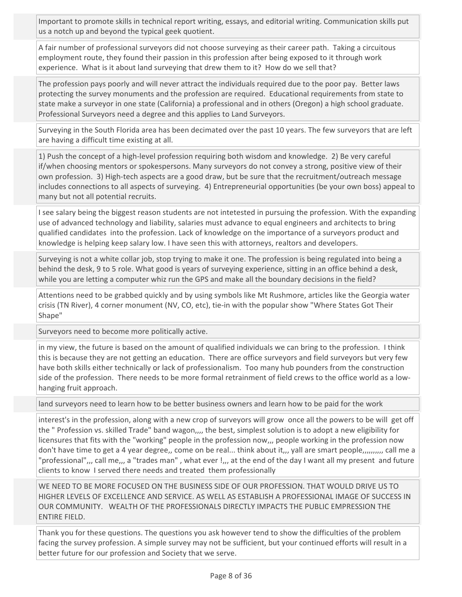Important to promote skills in technical report writing, essays, and editorial writing. Communication skills put us a notch up and beyond the typical geek quotient.

A fair number of professional surveyors did not choose surveying as their career path. Taking a circuitous employment route, they found their passion in this profession after being exposed to it through work experience. What is it about land surveying that drew them to it? How do we sell that?

The profession pays poorly and will never attract the individuals required due to the poor pay. Better laws protecting the survey monuments and the profession are required. Educational requirements from state to state make a surveyor in one state (California) a professional and in others (Oregon) a high school graduate. Professional Surveyors need a degree and this applies to Land Surveyors.

Surveying in the South Florida area has been decimated over the past 10 years. The few surveyors that are left are having a difficult time existing at all.

1) Push the concept of a high-level profession requiring both wisdom and knowledge. 2) Be very careful if/when choosing mentors or spokespersons. Many surveyors do not convey a strong, positive view of their own profession. 3) High-tech aspects are a good draw, but be sure that the recruitment/outreach message includes connections to all aspects of surveying. 4) Entrepreneurial opportunities (be your own boss) appeal to many but not all potential recruits.

I see salary being the biggest reason students are not intetested in pursuing the profession. With the expanding use of advanced technology and liability, salaries must advance to equal engineers and architects to bring qualified candidates into the profession. Lack of knowledge on the importance of a surveyors product and knowledge is helping keep salary low. I have seen this with attorneys, realtors and developers.

Surveying is not a white collar job, stop trying to make it one. The profession is being regulated into being a behind the desk, 9 to 5 role. What good is years of surveying experience, sitting in an office behind a desk, while you are letting a computer whiz run the GPS and make all the boundary decisions in the field?

Attentions need to be grabbed quickly and by using symbols like Mt Rushmore, articles like the Georgia water crisis (TN River), 4 corner monument (NV, CO, etc), tie-in with the popular show "Where States Got Their Shape"

Surveyors need to become more politically active.

in my view, the future is based on the amount of qualified individuals we can bring to the profession. I think this is because they are not getting an education. There are office surveyors and field surveyors but very few have both skills either technically or lack of professionalism. Too many hub pounders from the construction side of the profession. There needs to be more formal retrainment of field crews to the office world as a lowhanging fruit approach.

land surveyors need to learn how to be better business owners and learn how to be paid for the work

interest's in the profession, along with a new crop of surveyors will grow once all the powers to be will get off the " Profession vs. skilled Trade" band wagon,,,, the best, simplest solution is to adopt a new eligibility for licensures that fits with the "working" people in the profession now,,, people working in the profession now don't have time to get a 4 year degree,, come on be real... think about it,,, yall are smart people,,,,,,,,,,, call me a "professional",,, call me,,, a "trades man", what ever !,,, at the end of the day I want all my present and future clients to know I served there needs and treated them professionally

WE NEED TO BE MORE FOCUSED ON THE BUSINESS SIDE OF OUR PROFESSION. THAT WOULD DRIVE US TO HIGHER LEVELS OF EXCELLENCE AND SERVICE. AS WELL AS ESTABLISH A PROFESSIONAL IMAGE OF SUCCESS IN OUR COMMUNITY. WEALTH OF THE PROFESSIONALS DIRECTLY IMPACTS THE PUBLIC EMPRESSION THE ENTIRE FIELD.

Thank you for these questions. The questions you ask however tend to show the difficulties of the problem facing the survey profession. A simple survey may not be sufficient, but your continued efforts will result in a better future for our profession and Society that we serve.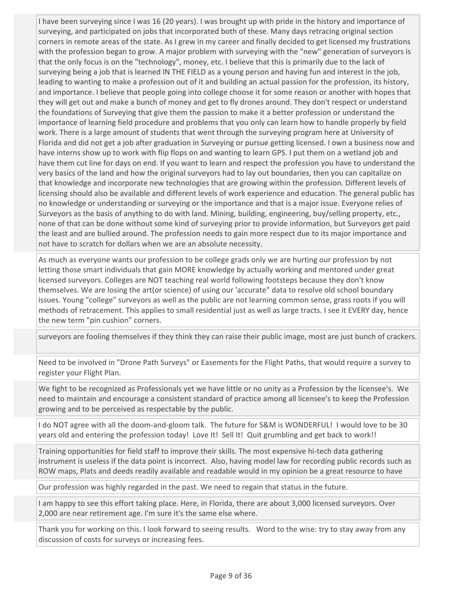I have been surveying since I was 16 (20 years). I was brought up with pride in the history and importance of surveying, and participated on jobs that incorporated both of these. Many days retracing original section corners in remote areas of the state. As I grew in my career and finally decided to get licensed my frustrations with the profession began to grow. A major problem with surveying with the "new" generation of surveyors is that the only focus is on the "technology", money, etc. I believe that this is primarily due to the lack of surveying being a job that is learned IN THE FIELD as a young person and having fun and interest in the job, leading to wanting to make a profession out of it and building an actual passion for the profession, its history, and importance. I believe that people going into college choose it for some reason or another with hopes that they will get out and make a bunch of money and get to fly drones around. They don't respect or understand the foundations of Surveying that give them the passion to make it a better profession or understand the importance of learning field procedure and problems that you only can learn how to handle properly by field work. There is a large amount of students that went through the surveying program here at University of Florida and did not get a job after graduation in Surveying or pursue getting licensed. I own a business now and have interns show up to work with flip flops on and wanting to learn GPS. I put them on a wetland job and have them cut line for days on end. If you want to learn and respect the profession you have to understand the very basics of the land and how the original surveyors had to lay out boundaries, then you can capitalize on that knowledge and incorporate new technologies that are growing within the profession. Different levels of licensing should also be available and different levels of work experience and education. The general public has no knowledge or understanding or surveying or the importance and that is a major issue. Everyone relies of Surveyors as the basis of anything to do with land. Mining, building, engineering, buy/selling property, etc., none of that can be done without some kind of surveying prior to provide information, but Surveyors get paid the least and are bullied around. The profession needs to gain more respect due to its major importance and not have to scratch for dollars when we are an absolute necessity.

As much as everyone wants our profession to be college grads only we are hurting our profession by not letting those smart individuals that gain MORE knowledge by actually working and mentored under great licensed surveyors. Colleges are NOT teaching real world following footsteps because they don't know themselves. We are losing the art(or science) of using our 'accurate" data to resolve old school boundary issues. Young "college" surveyors as well as the public are not learning common sense, grass roots if you will methods of retracement. This applies to small residential just as well as large tracts. I see it EVERY day, hence the new term "pin cushion" corners.

surveyors are fooling themselves if they think they can raise their public image, most are just bunch of crackers.

Need to be involved in "Drone Path Surveys" or Easements for the Flight Paths, that would require a survey to register your Flight Plan.

We fight to be recognized as Professionals yet we have little or no unity as a Profession by the licensee's. We need to maintain and encourage a consistent standard of practice among all licensee's to keep the Profession growing and to be perceived as respectable by the public.

I do NOT agree with all the doom-and-gloom talk. The future for S&M is WONDERFUL! I would love to be 30 years old and entering the profession today! Love It! Sell It! Quit grumbling and get back to work!!

Training opportunities for field staff to improve their skills. The most expensive hi-tech data gathering instrument is useless if the data point is incorrect. Also, having model law for recording public records such as ROW maps, Plats and deeds readily available and readable would in my opinion be a great resource to have

Our profession was highly regarded in the past. We need to regain that status in the future.

I am happy to see this effort taking place. Here, in Florida, there are about 3,000 licensed surveyors. Over 2,000 are near retirement age. I'm sure it's the same else where.

Thank you for working on this. I look forward to seeing results. Word to the wise: try to stay away from any discussion of costs for surveys or increasing fees.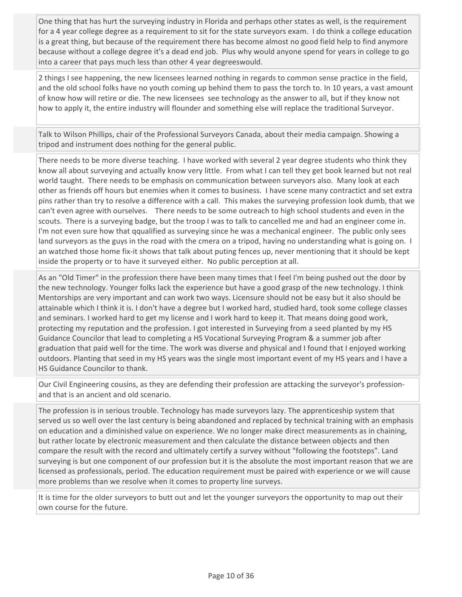One thing that has hurt the surveying industry in Florida and perhaps other states as well, is the requirement for a 4 year college degree as a requirement to sit for the state surveyors exam. I do think a college education is a great thing, but because of the requirement there has become almost no good field help to find anymore because without a college degree it's a dead end job. Plus why would anyone spend for years in college to go into a career that pays much less than other 4 year degreeswould.

2 things I see happening, the new licensees learned nothing in regards to common sense practice in the field, and the old school folks have no youth coming up behind them to pass the torch to. In 10 years, a vast amount of know how will retire or die. The new licensees see technology as the answer to all, but if they know not how to apply it, the entire industry will flounder and something else will replace the traditional Surveyor.

Talk to Wilson Phillips, chair of the Professional Surveyors Canada, about their media campaign. Showing a tripod and instrument does nothing for the general public.

There needs to be more diverse teaching. I have worked with several 2 year degree students who think they know all about surveying and actually know very little. From what I can tell they get book learned but not real world taught. There needs to be emphasis on communication between surveyors also. Many look at each other as friends off hours but enemies when it comes to business. I have scene many contractict and set extra pins rather than try to resolve a difference with a call. This makes the surveying profession look dumb, that we can't even agree with ourselves. There needs to be some outreach to high school students and even in the scouts. There is a surveying badge, but the troop I was to talk to cancelled me and had an engineer come in. I'm not even sure how that qqualified as surveying since he was a mechanical engineer. The public only sees land surveyors as the guys in the road with the cmera on a tripod, having no understanding what is going on. I an watched those home fix-it shows that talk about puting fences up, never mentioning that it should be kept inside the property or to have it surveyed either. No public perception at all.

As an "Old Timer" in the profession there have been many times that I feel I'm being pushed out the door by the new technology. Younger folks lack the experience but have a good grasp of the new technology. I think Mentorships are very important and can work two ways. Licensure should not be easy but it also should be attainable which I think it is. I don't have a degree but I worked hard, studied hard, took some college classes and seminars. I worked hard to get my license and I work hard to keep it. That means doing good work, protecting my reputation and the profession. I got interested in Surveying from a seed planted by my HS Guidance Councilor that lead to completing a HS Vocational Surveying Program & a summer job after graduation that paid well for the time. The work was diverse and physical and I found that I enjoyed working outdoors. Planting that seed in my HS years was the single most important event of my HS years and I have a HS Guidance Councilor to thank.

Our Civil Engineering cousins, as they are defending their profession are attacking the surveyor's professionand that is an ancient and old scenario.

The profession is in serious trouble. Technology has made surveyors lazy. The apprenticeship system that served us so well over the last century is being abandoned and replaced by technical training with an emphasis on education and a diminished value on experience. We no longer make direct measurements as in chaining, but rather locate by electronic measurement and then calculate the distance between objects and then compare the result with the record and ultimately certify a survey without "following the footsteps". Land surveying is but one component of our profession but it is the absolute the most important reason that we are licensed as professionals, period. The education requirement must be paired with experience or we will cause more problems than we resolve when it comes to property line surveys.

It is time for the older surveyors to butt out and let the younger surveyors the opportunity to map out their own course for the future.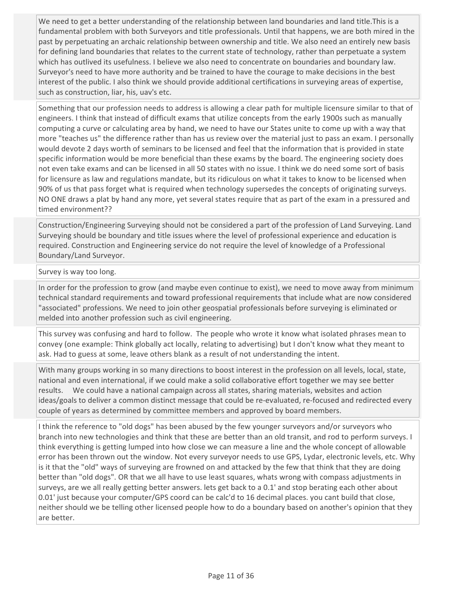We need to get a better understanding of the relationship between land boundaries and land title.This is a fundamental problem with both Surveyors and title professionals. Until that happens, we are both mired in the past by perpetuating an archaic relationship between ownership and title. We also need an entirely new basis for defining land boundaries that relates to the current state of technology, rather than perpetuate a system which has outlived its usefulness. I believe we also need to concentrate on boundaries and boundary law. Surveyor's need to have more authority and be trained to have the courage to make decisions in the best interest of the public. I also think we should provide additional certifications in surveying areas of expertise, such as construction, liar, his, uav's etc.

Something that our profession needs to address is allowing a clear path for multiple licensure similar to that of engineers. I think that instead of difficult exams that utilize concepts from the early 1900s such as manually computing a curve or calculating area by hand, we need to have our States unite to come up with a way that more "teaches us" the difference rather than has us review over the material just to pass an exam. I personally would devote 2 days worth of seminars to be licensed and feel that the information that is provided in state specific information would be more beneficial than these exams by the board. The engineering society does not even take exams and can be licensed in all 50 states with no issue. I think we do need some sort of basis for licensure as law and regulations mandate, but its ridiculous on what it takes to know to be licensed when 90% of us that pass forget what is required when technology supersedes the concepts of originating surveys. NO ONE draws a plat by hand any more, yet several states require that as part of the exam in a pressured and timed environment??

Construction/Engineering Surveying should not be considered a part of the profession of Land Surveying. Land Surveying should be boundary and title issues where the level of professional experience and education is required. Construction and Engineering service do not require the level of knowledge of a Professional Boundary/Land Surveyor.

## Survey is way too long.

In order for the profession to grow (and maybe even continue to exist), we need to move away from minimum technical standard requirements and toward professional requirements that include what are now considered "associated" professions. We need to join other geospatial professionals before surveying is eliminated or melded into another profession such as civil engineering.

This survey was confusing and hard to follow. The people who wrote it know what isolated phrases mean to convey (one example: Think globally act locally, relating to advertising) but I don't know what they meant to ask. Had to guess at some, leave others blank as a result of not understanding the intent.

With many groups working in so many directions to boost interest in the profession on all levels, local, state, national and even international, if we could make a solid collaborative effort together we may see better results. We could have a national campaign across all states, sharing materials, websites and action ideas/goals to deliver a common distinct message that could be re-evaluated, re-focused and redirected every couple of years as determined by committee members and approved by board members.

I think the reference to "old dogs" has been abused by the few younger surveyors and/or surveyors who branch into new technologies and think that these are better than an old transit, and rod to perform surveys. I think everything is getting lumped into how close we can measure a line and the whole concept of allowable error has been thrown out the window. Not every surveyor needs to use GPS, Lydar, electronic levels, etc. Why is it that the "old" ways of surveying are frowned on and attacked by the few that think that they are doing better than "old dogs". OR that we all have to use least squares, whats wrong with compass adjustments in surveys, are we all really getting better answers. lets get back to a 0.1' and stop berating each other about 0.01' just because your computer/GPS coord can be calc'd to 16 decimal places. you cant build that close, neither should we be telling other licensed people how to do a boundary based on another's opinion that they are better.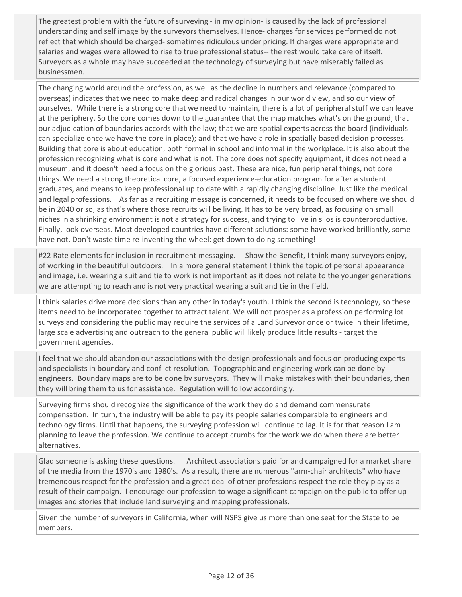The greatest problem with the future of surveying - in my opinion- is caused by the lack of professional understanding and self image by the surveyors themselves. Hence- charges for services performed do not reflect that which should be charged- sometimes ridiculous under pricing. If charges were appropriate and salaries and wages were allowed to rise to true professional status-- the rest would take care of itself. Surveyors as a whole may have succeeded at the technology of surveying but have miserably failed as businessmen.

The changing world around the profession, as well as the decline in numbers and relevance (compared to overseas) indicates that we need to make deep and radical changes in our world view, and so our view of ourselves. While there is a strong core that we need to maintain, there is a lot of peripheral stuff we can leave at the periphery. So the core comes down to the guarantee that the map matches what's on the ground; that our adjudication of boundaries accords with the law; that we are spatial experts across the board (individuals can specialize once we have the core in place); and that we have a role in spatially-based decision processes. Building that core is about education, both formal in school and informal in the workplace. It is also about the profession recognizing what is core and what is not. The core does not specify equipment, it does not need a museum, and it doesn't need a focus on the glorious past. These are nice, fun peripheral things, not core things. We need a strong theoretical core, a focused experience-education program for after a student graduates, and means to keep professional up to date with a rapidly changing discipline. Just like the medical and legal professions. As far as a recruiting message is concerned, it needs to be focused on where we should be in 2040 or so, as that's where those recruits will be living. It has to be very broad, as focusing on small niches in a shrinking environment is not a strategy for success, and trying to live in silos is counterproductive. Finally, look overseas. Most developed countries have different solutions: some have worked brilliantly, some have not. Don't waste time re-inventing the wheel: get down to doing something!

#22 Rate elements for inclusion in recruitment messaging. Show the Benefit, I think many surveyors enjoy, of working in the beautiful outdoors. In a more general statement I think the topic of personal appearance and image, i.e. wearing a suit and tie to work is not important as it does not relate to the younger generations we are attempting to reach and is not very practical wearing a suit and tie in the field.

I think salaries drive more decisions than any other in today's youth. I think the second is technology, so these items need to be incorporated together to attract talent. We will not prosper as a profession performing lot surveys and considering the public may require the services of a Land Surveyor once or twice in their lifetime, large scale advertising and outreach to the general public will likely produce little results - target the government agencies.

I feel that we should abandon our associations with the design professionals and focus on producing experts and specialists in boundary and conflict resolution. Topographic and engineering work can be done by engineers. Boundary maps are to be done by surveyors. They will make mistakes with their boundaries, then they will bring them to us for assistance. Regulation will follow accordingly.

Surveying firms should recognize the significance of the work they do and demand commensurate compensation. In turn, the industry will be able to pay its people salaries comparable to engineers and technology firms. Until that happens, the surveying profession will continue to lag. It is for that reason I am planning to leave the profession. We continue to accept crumbs for the work we do when there are better alternatives.

Glad someone is asking these questions. Architect associations paid for and campaigned for a market share of the media from the 1970's and 1980's. As a result, there are numerous "arm-chair architects" who have tremendous respect for the profession and a great deal of other professions respect the role they play as a result of their campaign. I encourage our profession to wage a significant campaign on the public to offer up images and stories that include land surveying and mapping professionals.

Given the number of surveyors in California, when will NSPS give us more than one seat for the State to be members.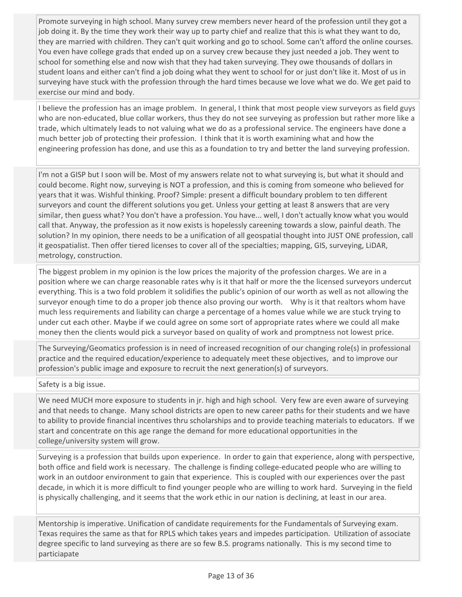Promote surveying in high school. Many survey crew members never heard of the profession until they got a job doing it. By the time they work their way up to party chief and realize that this is what they want to do, they are married with children. They can't quit working and go to school. Some can't afford the online courses. You even have college grads that ended up on a survey crew because they just needed a job. They went to school for something else and now wish that they had taken surveying. They owe thousands of dollars in student loans and either can't find a job doing what they went to school for or just don't like it. Most of us in surveying have stuck with the profession through the hard times because we love what we do. We get paid to exercise our mind and body.

I believe the profession has an image problem. In general, I think that most people view surveyors as field guys who are non-educated, blue collar workers, thus they do not see surveying as profession but rather more like a trade, which ultimately leads to not valuing what we do as a professional service. The engineers have done a much better job of protecting their profession. I think that it is worth examining what and how the engineering profession has done, and use this as a foundation to try and better the land surveying profession.

I'm not a GISP but I soon will be. Most of my answers relate not to what surveying is, but what it should and could become. Right now, surveying is NOT a profession, and this is coming from someone who believed for years that it was. Wishful thinking. Proof? Simple: present a difficult boundary problem to ten different surveyors and count the different solutions you get. Unless your getting at least 8 answers that are very similar, then guess what? You don't have a profession. You have... well, I don't actually know what you would call that. Anyway, the profession as it now exists is hopelessly careening towards a slow, painful death. The solution? In my opinion, there needs to be a unification of all geospatial thought into JUST ONE profession, call it geospatialist. Then offer tiered licenses to cover all of the specialties; mapping, GIS, surveying, LiDAR, metrology, construction.

The biggest problem in my opinion is the low prices the majority of the profession charges. We are in a position where we can charge reasonable rates why is it that half or more the the licensed surveyors undercut everything. This is a two fold problem it solidifies the public's opinion of our worth as well as not allowing the surveyor enough time to do a proper job thence also proving our worth. Why is it that realtors whom have much less requirements and liability can charge a percentage of a homes value while we are stuck trying to under cut each other. Maybe if we could agree on some sort of appropriate rates where we could all make money then the clients would pick a surveyor based on quality of work and promptness not lowest price.

The Surveying/Geomatics profession is in need of increased recognition of our changing role(s) in professional practice and the required education/experience to adequately meet these objectives, and to improve our profession's public image and exposure to recruit the next generation(s) of surveyors.

## Safety is a big issue.

We need MUCH more exposure to students in jr. high and high school. Very few are even aware of surveying and that needs to change. Many school districts are open to new career paths for their students and we have to ability to provide financial incentives thru scholarships and to provide teaching materials to educators. If we start and concentrate on this age range the demand for more educational opportunities in the college/university system will grow.

Surveying is a profession that builds upon experience. In order to gain that experience, along with perspective, both office and field work is necessary. The challenge is finding college-educated people who are willing to work in an outdoor environment to gain that experience. This is coupled with our experiences over the past decade, in which it is more difficult to find younger people who are willing to work hard. Surveying in the field is physically challenging, and it seems that the work ethic in our nation is declining, at least in our area.

Mentorship is imperative. Unification of candidate requirements for the Fundamentals of Surveying exam. Texas requires the same as that for RPLS which takes years and impedes participation. Utilization of associate degree specific to land surveying as there are so few B.S. programs nationally. This is my second time to particiapate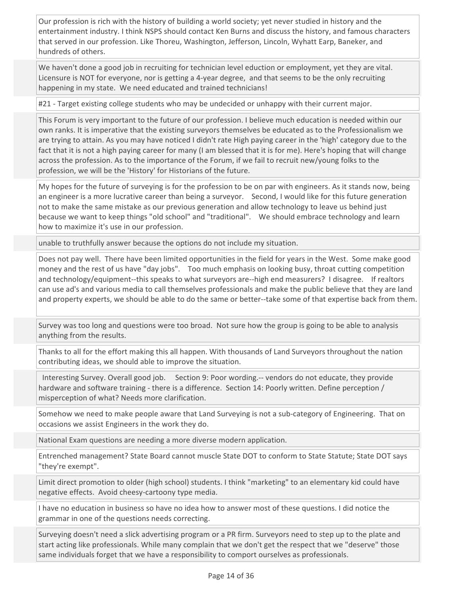Our profession is rich with the history of building a world society; yet never studied in history and the entertainment industry. I think NSPS should contact Ken Burns and discuss the history, and famous characters that served in our profession. Like Thoreu, Washington, Jefferson, Lincoln, Wyhatt Earp, Baneker, and hundreds of others.

We haven't done a good job in recruiting for technician level eduction or employment, yet they are vital. Licensure is NOT for everyone, nor is getting a 4-year degree, and that seems to be the only recruiting happening in my state. We need educated and trained technicians!

#21 - Target existing college students who may be undecided or unhappy with their current major.

This Forum is very important to the future of our profession. I believe much education is needed within our own ranks. It is imperative that the existing surveyors themselves be educated as to the Professionalism we are trying to attain. As you may have noticed I didn't rate High paying career in the 'high' category due to the fact that it is not a high paying career for many (I am blessed that it is for me). Here's hoping that will change across the profession. As to the importance of the Forum, if we fail to recruit new/young folks to the profession, we will be the 'History' for Historians of the future.

My hopes for the future of surveying is for the profession to be on par with engineers. As it stands now, being an engineer is a more lucrative career than being a surveyor. Second, I would like for this future generation not to make the same mistake as our previous generation and allow technology to leave us behind just because we want to keep things "old school" and "traditional". We should embrace technology and learn how to maximize it's use in our profession.

unable to truthfully answer because the options do not include my situation.

Does not pay well. There have been limited opportunities in the field for years in the West. Some make good money and the rest of us have "day jobs". Too much emphasis on looking busy, throat cutting competition and technology/equipment--this speaks to what surveyors are--high end measurers? I disagree. If realtors can use ad's and various media to call themselves professionals and make the public believe that they are land and property experts, we should be able to do the same or better--take some of that expertise back from them.

Survey was too long and questions were too broad. Not sure how the group is going to be able to analysis anything from the results.

Thanks to all for the effort making this all happen. With thousands of Land Surveyors throughout the nation contributing ideas, we should able to improve the situation.

 Interesting Survey. Overall good job. Section 9: Poor wording.-- vendors do not educate, they provide hardware and software training - there is a difference. Section 14: Poorly written. Define perception / misperception of what? Needs more clarification.

Somehow we need to make people aware that Land Surveying is not a sub-category of Engineering. That on occasions we assist Engineers in the work they do.

National Exam questions are needing a more diverse modern application.

Entrenched management? State Board cannot muscle State DOT to conform to State Statute; State DOT says "they're exempt".

Limit direct promotion to older (high school) students. I think "marketing" to an elementary kid could have negative effects. Avoid cheesy-cartoony type media.

I have no education in business so have no idea how to answer most of these questions. I did notice the grammar in one of the questions needs correcting.

Surveying doesn't need a slick advertising program or a PR firm. Surveyors need to step up to the plate and start acting like professionals. While many complain that we don't get the respect that we "deserve" those same individuals forget that we have a responsibility to comport ourselves as professionals.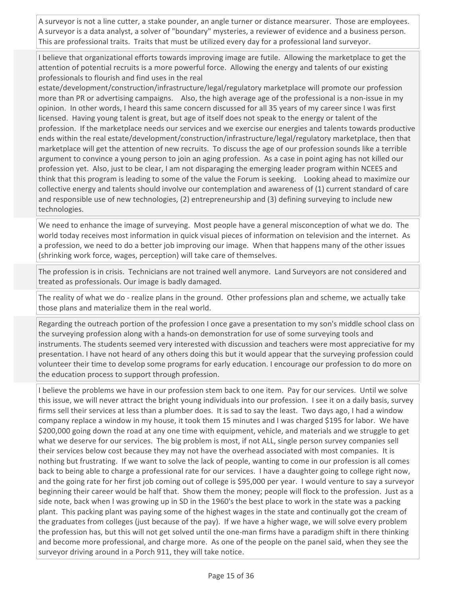A surveyor is not a line cutter, a stake pounder, an angle turner or distance mearsurer. Those are employees. A surveyor is a data analyst, a solver of "boundary" mysteries, a reviewer of evidence and a business person. This are professional traits. Traits that must be utilized every day for a professional land surveyor.

I believe that organizational efforts towards improving image are futile. Allowing the marketplace to get the attention of potential recruits is a more powerful force. Allowing the energy and talents of our existing professionals to flourish and find uses in the real

estate/development/construction/infrastructure/legal/regulatory marketplace will promote our profession more than PR or advertising campaigns. Also, the high average age of the professional is a non-issue in my opinion. In other words, I heard this same concern discussed for all 35 years of my career since I was first licensed. Having young talent is great, but age of itself does not speak to the energy or talent of the profession. If the marketplace needs our services and we exercise our energies and talents towards productive ends within the real estate/development/construction/infrastructure/legal/regulatory marketplace, then that marketplace will get the attention of new recruits. To discuss the age of our profession sounds like a terrible argument to convince a young person to join an aging profession. As a case in point aging has not killed our profession yet. Also, just to be clear, I am not disparaging the emerging leader program within NCEES and think that this program is leading to some of the value the Forum is seeking. Looking ahead to maximize our collective energy and talents should involve our contemplation and awareness of (1) current standard of care and responsible use of new technologies, (2) entrepreneurship and (3) defining surveying to include new technologies.

We need to enhance the image of surveying. Most people have a general misconception of what we do. The world today receives most information in quick visual pieces of information on television and the internet. As a profession, we need to do a better job improving our image. When that happens many of the other issues (shrinking work force, wages, perception) will take care of themselves.

The profession is in crisis. Technicians are not trained well anymore. Land Surveyors are not considered and treated as professionals. Our image is badly damaged.

The reality of what we do - realize plans in the ground. Other professions plan and scheme, we actually take those plans and materialize them in the real world.

Regarding the outreach portion of the profession I once gave a presentation to my son's middle school class on the surveying profession along with a hands-on demonstration for use of some surveying tools and instruments. The students seemed very interested with discussion and teachers were most appreciative for my presentation. I have not heard of any others doing this but it would appear that the surveying profession could volunteer their time to develop some programs for early education. I encourage our profession to do more on the education process to support through profession.

I believe the problems we have in our profession stem back to one item. Pay for our services. Until we solve this issue, we will never attract the bright young individuals into our profession. I see it on a daily basis, survey firms sell their services at less than a plumber does. It is sad to say the least. Two days ago, I had a window company replace a window in my house, it took them 15 minutes and I was charged \$195 for labor. We have \$200,000 going down the road at any one time with equipment, vehicle, and materials and we struggle to get what we deserve for our services. The big problem is most, if not ALL, single person survey companies sell their services below cost because they may not have the overhead associated with most companies. It is nothing but frustrating. If we want to solve the lack of people, wanting to come in our profession is all comes back to being able to charge a professional rate for our services. I have a daughter going to college right now, and the going rate for her first job coming out of college is \$95,000 per year. I would venture to say a surveyor beginning their career would be half that. Show them the money; people will flock to the profession. Just as a side note, back when I was growing up in SD in the 1960's the best place to work in the state was a packing plant. This packing plant was paying some of the highest wages in the state and continually got the cream of the graduates from colleges (just because of the pay). If we have a higher wage, we will solve every problem the profession has, but this will not get solved until the one-man firms have a paradigm shift in there thinking and become more professional, and charge more. As one of the people on the panel said, when they see the surveyor driving around in a Porch 911, they will take notice.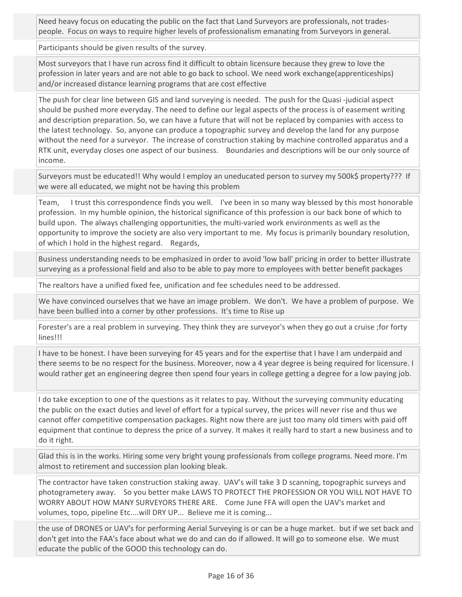Need heavy focus on educating the public on the fact that Land Surveyors are professionals, not tradespeople. Focus on ways to require higher levels of professionalism emanating from Surveyors in general.

Participants should be given results of the survey.

Most surveyors that I have run across find it difficult to obtain licensure because they grew to love the profession in later years and are not able to go back to school. We need work exchange(apprenticeships) and/or increased distance learning programs that are cost effective

The push for clear line between GIS and land surveying is needed. The push for the Quasi -judicial aspect should be pushed more everyday. The need to define our legal aspects of the process is of easement writing and description preparation. So, we can have a future that will not be replaced by companies with access to the latest technology. So, anyone can produce a topographic survey and develop the land for any purpose without the need for a surveyor. The increase of construction staking by machine controlled apparatus and a RTK unit, everyday closes one aspect of our business. Boundaries and descriptions will be our only source of income.

Surveyors must be educated!! Why would I employ an uneducated person to survey my 500k\$ property??? If we were all educated, we might not be having this problem

Team, I trust this correspondence finds you well. I've been in so many way blessed by this most honorable profession. In my humble opinion, the historical significance of this profession is our back bone of which to build upon. The always challenging opportunities, the multi-varied work environments as well as the opportunity to improve the society are also very important to me. My focus is primarily boundary resolution, of which I hold in the highest regard. Regards,

Business understanding needs to be emphasized in order to avoid 'low ball' pricing in order to better illustrate surveying as a professional field and also to be able to pay more to employees with better benefit packages

The realtors have a unified fixed fee, unification and fee schedules need to be addressed.

We have convinced ourselves that we have an image problem. We don't. We have a problem of purpose. We have been bullied into a corner by other professions. It's time to Rise up

Forester's are a real problem in surveying. They think they are surveyor's when they go out a cruise ;for forty lines!!!

I have to be honest. I have been surveying for 45 years and for the expertise that I have I am underpaid and there seems to be no respect for the business. Moreover, now a 4 year degree is being required for licensure. I would rather get an engineering degree then spend four years in college getting a degree for a low paying job.

I do take exception to one of the questions as it relates to pay. Without the surveying community educating the public on the exact duties and level of effort for a typical survey, the prices will never rise and thus we cannot offer competitive compensation packages. Right now there are just too many old timers with paid off equipment that continue to depress the price of a survey. It makes it really hard to start a new business and to do it right.

Glad this is in the works. Hiring some very bright young professionals from college programs. Need more. I'm almost to retirement and succession plan looking bleak.

The contractor have taken construction staking away. UAV's will take 3 D scanning, topographic surveys and photogrametery away. So you better make LAWS TO PROTECT THE PROFESSION OR YOU WILL NOT HAVE TO WORRY ABOUT HOW MANY SURVEYORS THERE ARE. Come June FFA will open the UAV's market and volumes, topo, pipeline Etc....will DRY UP... Believe me it is coming...

the use of DRONES or UAV's for performing Aerial Surveying is or can be a huge market. but if we set back and don't get into the FAA's face about what we do and can do if allowed. It will go to someone else. We must educate the public of the GOOD this technology can do.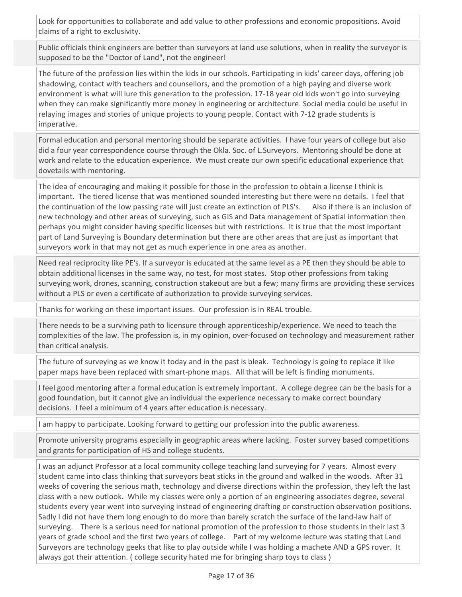Look for opportunities to collaborate and add value to other professions and economic propositions. Avoid claims of a right to exclusivity.

Public officials think engineers are better than surveyors at land use solutions, when in reality the surveyor is supposed to be the "Doctor of Land", not the engineer!

The future of the profession lies within the kids in our schools. Participating in kids' career days, offering job shadowing, contact with teachers and counsellors, and the promotion of a high paying and diverse work environment is what will lure this generation to the profession. 17-18 year old kids won't go into surveying when they can make significantly more money in engineering or architecture. Social media could be useful in relaying images and stories of unique projects to young people. Contact with 7-12 grade students is imperative.

Formal education and personal mentoring should be separate activities. I have four years of college but also did a four year correspondence course through the Okla. Soc. of L.Surveyors. Mentoring should be done at work and relate to the education experience. We must create our own specific educational experience that dovetails with mentoring.

The idea of encouraging and making it possible for those in the profession to obtain a license I think is important. The tiered license that was mentioned sounded interesting but there were no details. I feel that the continuation of the low passing rate will just create an extinction of PLS's. Also if there is an inclusion of new technology and other areas of surveying, such as GIS and Data management of Spatial information then perhaps you might consider having specific licenses but with restrictions. It is true that the most important part of Land Surveying is Boundary determination but there are other areas that are just as important that surveyors work in that may not get as much experience in one area as another.

Need real reciprocity like PE's. If a surveyor is educated at the same level as a PE then they should be able to obtain additional licenses in the same way, no test, for most states. Stop other professions from taking surveying work, drones, scanning, construction stakeout are but a few; many firms are providing these services without a PLS or even a certificate of authorization to provide surveying services.

Thanks for working on these important issues. Our profession is in REAL trouble.

There needs to be a surviving path to licensure through apprenticeship/experience. We need to teach the complexities of the law. The profession is, in my opinion, over-focused on technology and measurement rather than critical analysis.

The future of surveying as we know it today and in the past is bleak. Technology is going to replace it like paper maps have been replaced with smart-phone maps. All that will be left is finding monuments.

I feel good mentoring after a formal education is extremely important. A college degree can be the basis for a good foundation, but it cannot give an individual the experience necessary to make correct boundary decisions. I feel a minimum of 4 years after education is necessary.

I am happy to participate. Looking forward to getting our profession into the public awareness.

Promote university programs especially in geographic areas where lacking. Foster survey based competitions and grants for participation of HS and college students.

I was an adjunct Professor at a local community college teaching land surveying for 7 years. Almost every student came into class thinking that surveyors beat sticks in the ground and walked in the woods. After 31 weeks of covering the serious math, technology and diverse directions within the profession, they left the last class with a new outlook. While my classes were only a portion of an engineering associates degree, several students every year went into surveying instead of engineering drafting or construction observation positions. Sadly I did not have them long enough to do more than barely scratch the surface of the land-law half of surveying. There is a serious need for national promotion of the profession to those students in their last 3 years of grade school and the first two years of college. Part of my welcome lecture was stating that Land Surveyors are technology geeks that like to play outside while I was holding a machete AND a GPS rover. It always got their attention. ( college security hated me for bringing sharp toys to class )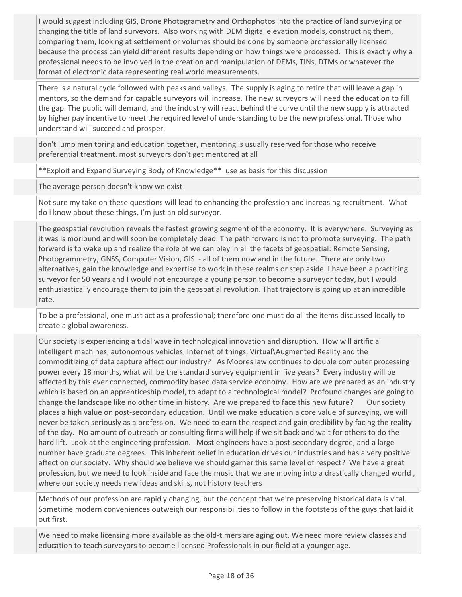I would suggest including GIS, Drone Photogrametry and Orthophotos into the practice of land surveying or changing the title of land surveyors. Also working with DEM digital elevation models, constructing them, comparing them, looking at settlement or volumes should be done by someone professionally licensed because the process can yield different results depending on how things were processed. This is exactly why a professional needs to be involved in the creation and manipulation of DEMs, TINs, DTMs or whatever the format of electronic data representing real world measurements.

There is a natural cycle followed with peaks and valleys. The supply is aging to retire that will leave a gap in mentors, so the demand for capable surveyors will increase. The new surveyors will need the education to fill the gap. The public will demand, and the industry will react behind the curve until the new supply is attracted by higher pay incentive to meet the required level of understanding to be the new professional. Those who understand will succeed and prosper.

don't lump men toring and education together, mentoring is usually reserved for those who receive preferential treatment. most surveyors don't get mentored at all

\*\*Exploit and Expand Surveying Body of Knowledge\*\* use as basis for this discussion

The average person doesn't know we exist

Not sure my take on these questions will lead to enhancing the profession and increasing recruitment. What do i know about these things, I'm just an old surveyor.

The geospatial revolution reveals the fastest growing segment of the economy. It is everywhere. Surveying as it was is moribund and will soon be completely dead. The path forward is not to promote surveying. The path forward is to wake up and realize the role of we can play in all the facets of geospatial: Remote Sensing, Photogrammetry, GNSS, Computer Vision, GIS - all of them now and in the future. There are only two alternatives, gain the knowledge and expertise to work in these realms or step aside. I have been a practicing surveyor for 50 years and I would not encourage a young person to become a surveyor today, but I would enthusiastically encourage them to join the geospatial revolution. That trajectory is going up at an incredible rate.

To be a professional, one must act as a professional; therefore one must do all the items discussed locally to create a global awareness.

Our society is experiencing a tidal wave in technological innovation and disruption. How will artificial intelligent machines, autonomous vehicles, Internet of things, Virtual\Augmented Reality and the commoditizing of data capture affect our industry? As Moores law continues to double computer processing power every 18 months, what will be the standard survey equipment in five years? Every industry will be affected by this ever connected, commodity based data service economy. How are we prepared as an industry which is based on an apprenticeship model, to adapt to a technological model? Profound changes are going to change the landscape like no other time in history. Are we prepared to face this new future? Our society places a high value on post-secondary education. Until we make education a core value of surveying, we will never be taken seriously as a profession. We need to earn the respect and gain credibility by facing the reality of the day. No amount of outreach or consulting firms will help if we sit back and wait for others to do the hard lift. Look at the engineering profession. Most engineers have a post-secondary degree, and a large number have graduate degrees. This inherent belief in education drives our industries and has a very positive affect on our society. Why should we believe we should garner this same level of respect? We have a great profession, but we need to look inside and face the music that we are moving into a drastically changed world , where our society needs new ideas and skills, not history teachers

Methods of our profession are rapidly changing, but the concept that we're preserving historical data is vital. Sometime modern conveniences outweigh our responsibilities to follow in the footsteps of the guys that laid it out first.

We need to make licensing more available as the old-timers are aging out. We need more review classes and education to teach surveyors to become licensed Professionals in our field at a younger age.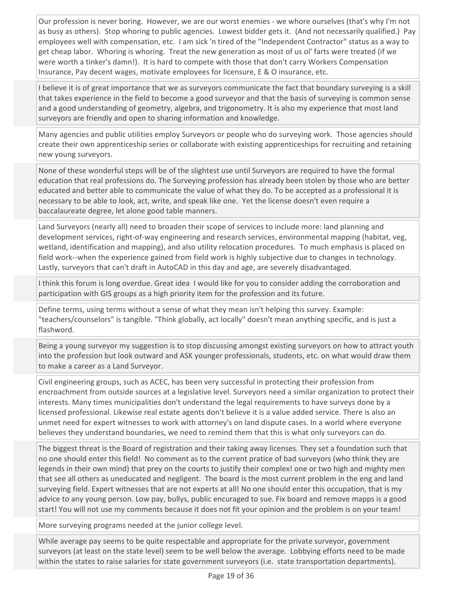Our profession is never boring. However, we are our worst enemies - we whore ourselves (that's why I'm not as busy as others). Stop whoring to public agencies. Lowest bidder gets it. (And not necessarily qualified.) Pay employees well with compensation, etc. I am sick 'n tired of the "Independent Contractor" status as a way to get cheap labor. Whoring is whoring. Treat the new generation as most of us ol' farts were treated (if we were worth a tinker's damn!). It is hard to compete with those that don't carry Workers Compensation Insurance, Pay decent wages, motivate employees for licensure, E & O insurance, etc.

I believe it is of great importance that we as surveyors communicate the fact that boundary surveying is a skill that takes experience in the field to become a good surveyor and that the basis of surveying is common sense and a good understanding of geometry, algebra, and trigonometry. It is also my experience that most land surveyors are friendly and open to sharing information and knowledge.

Many agencies and public utilities employ Surveyors or people who do surveying work. Those agencies should create their own apprenticeship series or collaborate with existing apprenticeships for recruiting and retaining new young surveyors.

None of these wonderful steps will be of the slightest use until Surveyors are required to have the formal education that real professions do. The Surveying profession has already been stolen by those who are better educated and better able to communicate the value of what they do. To be accepted as a professional it is necessary to be able to look, act, write, and speak like one. Yet the license doesn't even require a baccalaureate degree, let alone good table manners.

Land Surveyors (nearly all) need to broaden their scope of services to include more: land planning and development services, right-of-way engineering and research services, environmental mapping (habitat, veg, wetland, identification and mapping), and also utility relocation procedures. To much emphasis is placed on field work--when the experience gained from field work is highly subjective due to changes in technology. Lastly, surveyors that can't draft in AutoCAD in this day and age, are severely disadvantaged.

I think this forum is long overdue. Great idea I would like for you to consider adding the corroboration and participation with GIS groups as a high priority item for the profession and its future.

Define terms, using terms without a sense of what they mean isn't helping this survey. Example: "teachers/counselors" is tangible. "Think globally, act locally" doesn't mean anything specific, and is just a flashword.

Being a young surveyor my suggestion is to stop discussing amongst existing surveyors on how to attract youth into the profession but look outward and ASK younger professionals, students, etc. on what would draw them to make a career as a Land Surveyor.

Civil engineering groups, such as ACEC, has been very successful in protecting their profession from encroachment from outside sources at a legislative level. Surveyors need a similar organization to protect their interests. Many times municipalities don't understand the legal requirements to have surveys done by a licensed professional. Likewise real estate agents don't believe it is a value added service. There is also an unmet need for expert witnesses to work with attorney's on land dispute cases. In a world where everyone believes they understand boundaries, we need to remind them that this is what only surveyors can do.

The biggest threat is the Board of registration and their taking away licenses. They set a foundation such that no one should enter this field! No comment as to the current pratice of bad surveyors (who think they are legends in their own mind) that prey on the courts to justify their complex! one or two high and mighty men that see all others as uneducated and negligent. The board is the most current problem in the eng and land surveying field. Expert witnesses that are not experts at all! No one should enter this occupation, that is my advice to any young person. Low pay, bullys, public encuraged to sue. Fix board and remove mapps is a good start! You will not use my comments because it does not fit your opinion and the problem is on your team!

More surveying programs needed at the junior college level.

While average pay seems to be quite respectable and appropriate for the private surveyor, government surveyors (at least on the state level) seem to be well below the average. Lobbying efforts need to be made within the states to raise salaries for state government surveyors (i.e. state transportation departments).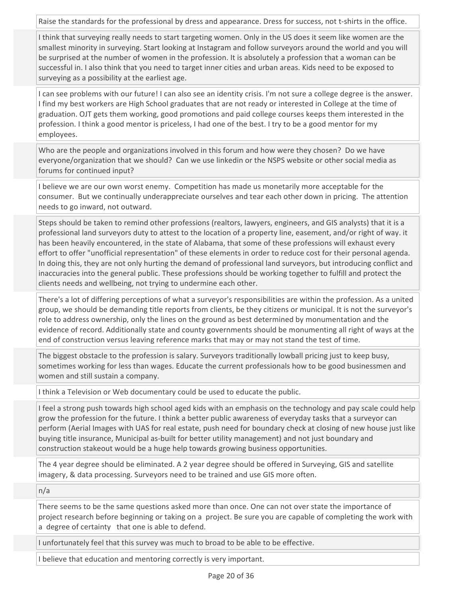Raise the standards for the professional by dress and appearance. Dress for success, not t-shirts in the office.

I think that surveying really needs to start targeting women. Only in the US does it seem like women are the smallest minority in surveying. Start looking at Instagram and follow surveyors around the world and you will be surprised at the number of women in the profession. It is absolutely a profession that a woman can be successful in. I also think that you need to target inner cities and urban areas. Kids need to be exposed to surveying as a possibility at the earliest age.

I can see problems with our future! I can also see an identity crisis. I'm not sure a college degree is the answer. I find my best workers are High School graduates that are not ready or interested in College at the time of graduation. OJT gets them working, good promotions and paid college courses keeps them interested in the profession. I think a good mentor is priceless, I had one of the best. I try to be a good mentor for my employees.

Who are the people and organizations involved in this forum and how were they chosen? Do we have everyone/organization that we should? Can we use linkedin or the NSPS website or other social media as forums for continued input?

I believe we are our own worst enemy. Competition has made us monetarily more acceptable for the consumer. But we continually underappreciate ourselves and tear each other down in pricing. The attention needs to go inward, not outward.

Steps should be taken to remind other professions (realtors, lawyers, engineers, and GIS analysts) that it is a professional land surveyors duty to attest to the location of a property line, easement, and/or right of way. it has been heavily encountered, in the state of Alabama, that some of these professions will exhaust every effort to offer "unofficial representation" of these elements in order to reduce cost for their personal agenda. In doing this, they are not only hurting the demand of professional land surveyors, but introducing conflict and inaccuracies into the general public. These professions should be working together to fulfill and protect the clients needs and wellbeing, not trying to undermine each other.

There's a lot of differing perceptions of what a surveyor's responsibilities are within the profession. As a united group, we should be demanding title reports from clients, be they citizens or municipal. It is not the surveyor's role to address ownership, only the lines on the ground as best determined by monumentation and the evidence of record. Additionally state and county governments should be monumenting all right of ways at the end of construction versus leaving reference marks that may or may not stand the test of time.

The biggest obstacle to the profession is salary. Surveyors traditionally lowball pricing just to keep busy, sometimes working for less than wages. Educate the current professionals how to be good businessmen and women and still sustain a company.

I think a Television or Web documentary could be used to educate the public.

I feel a strong push towards high school aged kids with an emphasis on the technology and pay scale could help grow the profession for the future. I think a better public awareness of everyday tasks that a surveyor can perform (Aerial Images with UAS for real estate, push need for boundary check at closing of new house just like buying title insurance, Municipal as-built for better utility management) and not just boundary and construction stakeout would be a huge help towards growing business opportunities.

The 4 year degree should be eliminated. A 2 year degree should be offered in Surveying, GIS and satellite imagery, & data processing. Surveyors need to be trained and use GIS more often.

n/a

There seems to be the same questions asked more than once. One can not over state the importance of project research before beginning or taking on a project. Be sure you are capable of completing the work with a degree of certainty that one is able to defend.

I unfortunately feel that this survey was much to broad to be able to be effective.

I believe that education and mentoring correctly is very important.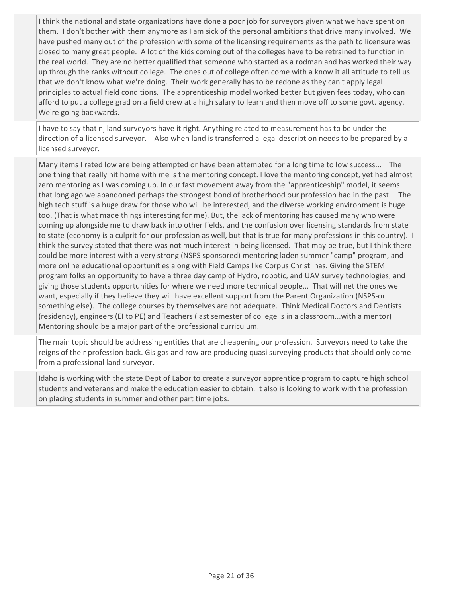I think the national and state organizations have done a poor job for surveyors given what we have spent on them. I don't bother with them anymore as I am sick of the personal ambitions that drive many involved. We have pushed many out of the profession with some of the licensing requirements as the path to licensure was closed to many great people. A lot of the kids coming out of the colleges have to be retrained to function in the real world. They are no better qualified that someone who started as a rodman and has worked their way up through the ranks without college. The ones out of college often come with a know it all attitude to tell us that we don't know what we're doing. Their work generally has to be redone as they can't apply legal principles to actual field conditions. The apprenticeship model worked better but given fees today, who can afford to put a college grad on a field crew at a high salary to learn and then move off to some govt. agency. We're going backwards.

I have to say that nj land surveyors have it right. Anything related to measurement has to be under the direction of a licensed surveyor. Also when land is transferred a legal description needs to be prepared by a licensed surveyor.

Many items I rated low are being attempted or have been attempted for a long time to low success... The one thing that really hit home with me is the mentoring concept. I love the mentoring concept, yet had almost zero mentoring as I was coming up. In our fast movement away from the "apprenticeship" model, it seems that long ago we abandoned perhaps the strongest bond of brotherhood our profession had in the past. The high tech stuff is a huge draw for those who will be interested, and the diverse working environment is huge too. (That is what made things interesting for me). But, the lack of mentoring has caused many who were coming up alongside me to draw back into other fields, and the confusion over licensing standards from state to state (economy is a culprit for our profession as well, but that is true for many professions in this country). I think the survey stated that there was not much interest in being licensed. That may be true, but I think there could be more interest with a very strong (NSPS sponsored) mentoring laden summer "camp" program, and more online educational opportunities along with Field Camps like Corpus Christi has. Giving the STEM program folks an opportunity to have a three day camp of Hydro, robotic, and UAV survey technologies, and giving those students opportunities for where we need more technical people... That will net the ones we want, especially if they believe they will have excellent support from the Parent Organization (NSPS-or something else). The college courses by themselves are not adequate. Think Medical Doctors and Dentists (residency), engineers (EI to PE) and Teachers (last semester of college is in a classroom...with a mentor) Mentoring should be a major part of the professional curriculum.

The main topic should be addressing entities that are cheapening our profession. Surveyors need to take the reigns of their profession back. Gis gps and row are producing quasi surveying products that should only come from a professional land surveyor.

Idaho is working with the state Dept of Labor to create a surveyor apprentice program to capture high school students and veterans and make the education easier to obtain. It also is looking to work with the profession on placing students in summer and other part time jobs.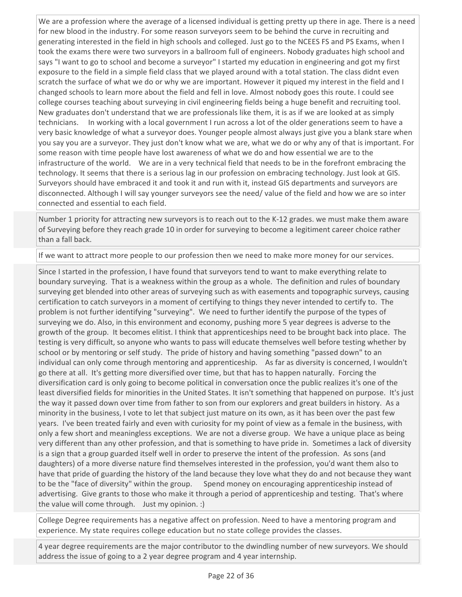We are a profession where the average of a licensed individual is getting pretty up there in age. There is a need for new blood in the industry. For some reason surveyors seem to be behind the curve in recruiting and generating interested in the field in high schools and colleged. Just go to the NCEES FS and PS Exams, when I took the exams there were two surveyors in a ballroom full of engineers. Nobody graduates high school and says "I want to go to school and become a surveyor" I started my education in engineering and got my first exposure to the field in a simple field class that we played around with a total station. The class didnt even scratch the surface of what we do or why we are important. However it piqued my interest in the field and I changed schools to learn more about the field and fell in love. Almost nobody goes this route. I could see college courses teaching about surveying in civil engineering fields being a huge benefit and recruiting tool. New graduates don't understand that we are professionals like them, it is as if we are looked at as simply technicians. In working with a local government I run across a lot of the older generations seem to have a very basic knowledge of what a surveyor does. Younger people almost always just give you a blank stare when you say you are a surveyor. They just don't know what we are, what we do or why any of that is important. For some reason with time people have lost awareness of what we do and how essential we are to the infrastructure of the world. We are in a very technical field that needs to be in the forefront embracing the technology. It seems that there is a serious lag in our profession on embracing technology. Just look at GIS. Surveyors should have embraced it and took it and run with it, instead GIS departments and surveyors are disconnected. Although I will say younger surveyors see the need/ value of the field and how we are so inter connected and essential to each field.

Number 1 priority for attracting new surveyors is to reach out to the K-12 grades. we must make them aware of Surveying before they reach grade 10 in order for surveying to become a legitiment career choice rather than a fall back.

If we want to attract more people to our profession then we need to make more money for our services.

Since I started in the profession, I have found that surveyors tend to want to make everything relate to boundary surveying. That is a weakness within the group as a whole. The definition and rules of boundary surveying get blended into other areas of surveying such as with easements and topographic surveys, causing certification to catch surveyors in a moment of certifying to things they never intended to certify to. The problem is not further identifying "surveying". We need to further identify the purpose of the types of surveying we do. Also, in this environment and economy, pushing more 5 year degrees is adverse to the growth of the group. It becomes elitist. I think that apprenticeships need to be brought back into place. The testing is very difficult, so anyone who wants to pass will educate themselves well before testing whether by school or by mentoring or self study. The pride of history and having something "passed down" to an individual can only come through mentoring and apprenticeship. As far as diversity is concerned, I wouldn't go there at all. It's getting more diversified over time, but that has to happen naturally. Forcing the diversification card is only going to become political in conversation once the public realizes it's one of the least diversified fields for minorities in the United States. It isn't something that happened on purpose. It's just the way it passed down over time from father to son from our explorers and great builders in history. As a minority in the business, I vote to let that subject just mature on its own, as it has been over the past few years. I've been treated fairly and even with curiosity for my point of view as a female in the business, with only a few short and meaningless exceptions. We are not a diverse group. We have a unique place as being very different than any other profession, and that is something to have pride in. Sometimes a lack of diversity is a sign that a group guarded itself well in order to preserve the intent of the profession. As sons (and daughters) of a more diverse nature find themselves interested in the profession, you'd want them also to have that pride of guarding the history of the land because they love what they do and not because they want to be the "face of diversity" within the group. Spend money on encouraging apprenticeship instead of advertising. Give grants to those who make it through a period of apprenticeship and testing. That's where the value will come through. Just my opinion. :)

College Degree requirements has a negative affect on profession. Need to have a mentoring program and experience. My state requires college education but no state college provides the classes.

4 year degree requirements are the major contributor to the dwindling number of new surveyors. We should address the issue of going to a 2 year degree program and 4 year internship.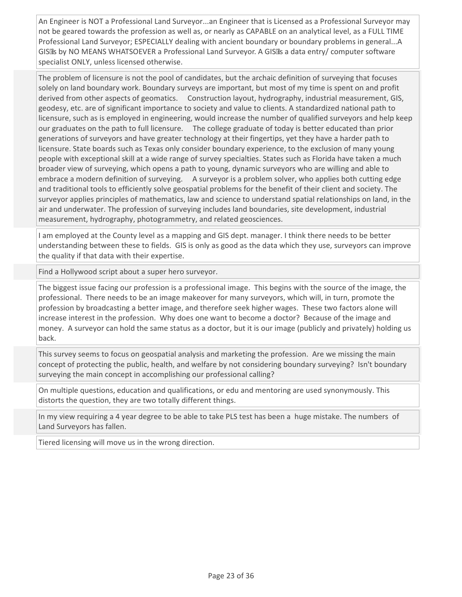An Engineer is NOT a Professional Land Surveyor...an Engineer that is Licensed as a Professional Surveyor may not be geared towards the profession as well as, or nearly as CAPABLE on an analytical level, as a FULL TIME Professional Land Surveyor; ESPECIALLY dealing with ancient boundary or boundary problems in general...A GIS Is by NO MEANS WHATSOEVER a Professional Land Surveyor. A GIS Is a data entry/ computer software specialist ONLY, unless licensed otherwise.

The problem of licensure is not the pool of candidates, but the archaic definition of surveying that focuses solely on land boundary work. Boundary surveys are important, but most of my time is spent on and profit derived from other aspects of geomatics. Construction layout, hydrography, industrial measurement, GIS, geodesy, etc. are of significant importance to society and value to clients. A standardized national path to licensure, such as is employed in engineering, would increase the number of qualified surveyors and help keep our graduates on the path to full licensure. The college graduate of today is better educated than prior generations of surveyors and have greater technology at their fingertips, yet they have a harder path to licensure. State boards such as Texas only consider boundary experience, to the exclusion of many young people with exceptional skill at a wide range of survey specialties. States such as Florida have taken a much broader view of surveying, which opens a path to young, dynamic surveyors who are willing and able to embrace a modern definition of surveying. A surveyor is a problem solver, who applies both cutting edge and traditional tools to efficiently solve geospatial problems for the benefit of their client and society. The surveyor applies principles of mathematics, law and science to understand spatial relationships on land, in the air and underwater. The profession of surveying includes land boundaries, site development, industrial measurement, hydrography, photogrammetry, and related geosciences.

I am employed at the County level as a mapping and GIS dept. manager. I think there needs to be better understanding between these to fields. GIS is only as good as the data which they use, surveyors can improve the quality if that data with their expertise.

Find a Hollywood script about a super hero surveyor.

The biggest issue facing our profession is a professional image. This begins with the source of the image, the professional. There needs to be an image makeover for many surveyors, which will, in turn, promote the profession by broadcasting a better image, and therefore seek higher wages. These two factors alone will increase interest in the profession. Why does one want to become a doctor? Because of the image and money. A surveyor can hold the same status as a doctor, but it is our image (publicly and privately) holding us back.

This survey seems to focus on geospatial analysis and marketing the profession. Are we missing the main concept of protecting the public, health, and welfare by not considering boundary surveying? Isn't boundary surveying the main concept in accomplishing our professional calling?

On multiple questions, education and qualifications, or edu and mentoring are used synonymously. This distorts the question, they are two totally different things.

In my view requiring a 4 year degree to be able to take PLS test has been a huge mistake. The numbers of Land Surveyors has fallen.

Tiered licensing will move us in the wrong direction.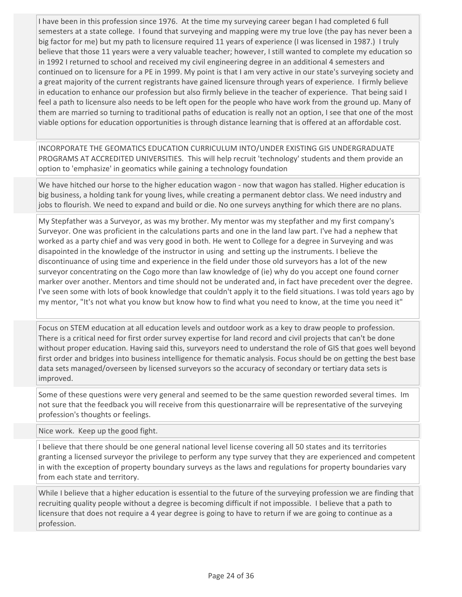I have been in this profession since 1976. At the time my surveying career began I had completed 6 full semesters at a state college. I found that surveying and mapping were my true love (the pay has never been a big factor for me) but my path to licensure required 11 years of experience (I was licensed in 1987.) I truly believe that those 11 years were a very valuable teacher; however, I still wanted to complete my education so in 1992 I returned to school and received my civil engineering degree in an additional 4 semesters and continued on to licensure for a PE in 1999. My point is that I am very active in our state's surveying society and a great majority of the current registrants have gained licensure through years of experience. I firmly believe in education to enhance our profession but also firmly believe in the teacher of experience. That being said I feel a path to licensure also needs to be left open for the people who have work from the ground up. Many of them are married so turning to traditional paths of education is really not an option, I see that one of the most viable options for education opportunities is through distance learning that is offered at an affordable cost.

INCORPORATE THE GEOMATICS EDUCATION CURRICULUM INTO/UNDER EXISTING GIS UNDERGRADUATE PROGRAMS AT ACCREDITED UNIVERSITIES. This will help recruit 'technology' students and them provide an option to 'emphasize' in geomatics while gaining a technology foundation

We have hitched our horse to the higher education wagon - now that wagon has stalled. Higher education is big business, a holding tank for young lives, while creating a permanent debtor class. We need industry and jobs to flourish. We need to expand and build or die. No one surveys anything for which there are no plans.

My Stepfather was a Surveyor, as was my brother. My mentor was my stepfather and my first company's Surveyor. One was proficient in the calculations parts and one in the land law part. I've had a nephew that worked as a party chief and was very good in both. He went to College for a degree in Surveying and was disapointed in the knowledge of the instructor in using and setting up the instruments. I believe the discontinuance of using time and experience in the field under those old surveyors has a lot of the new surveyor concentrating on the Cogo more than law knowledge of (ie) why do you accept one found corner marker over another. Mentors and time should not be underated and, in fact have precedent over the degree. I've seen some with lots of book knowledge that couldn't apply it to the field situations. I was told years ago by my mentor, "It's not what you know but know how to find what you need to know, at the time you need it"

Focus on STEM education at all education levels and outdoor work as a key to draw people to profession. There is a critical need for first order survey expertise for land record and civil projects that can't be done without proper education. Having said this, surveyors need to understand the role of GIS that goes well beyond first order and bridges into business intelligence for thematic analysis. Focus should be on getting the best base data sets managed/overseen by licensed surveyors so the accuracy of secondary or tertiary data sets is improved.

Some of these questions were very general and seemed to be the same question reworded several times. Im not sure that the feedback you will receive from this questionarraire will be representative of the surveying profession's thoughts or feelings.

Nice work. Keep up the good fight.

I believe that there should be one general national level license covering all 50 states and its territories granting a licensed surveyor the privilege to perform any type survey that they are experienced and competent in with the exception of property boundary surveys as the laws and regulations for property boundaries vary from each state and territory.

While I believe that a higher education is essential to the future of the surveying profession we are finding that recruiting quality people without a degree is becoming difficult if not impossible. I believe that a path to licensure that does not require a 4 year degree is going to have to return if we are going to continue as a profession.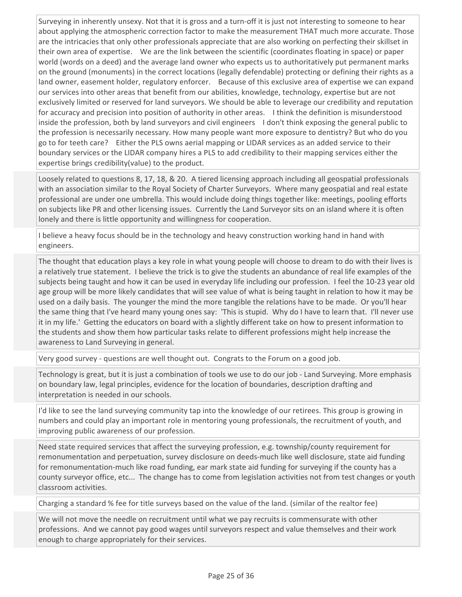Surveying in inherently unsexy. Not that it is gross and a turn-off it is just not interesting to someone to hear about applying the atmospheric correction factor to make the measurement THAT much more accurate. Those are the intricacies that only other professionals appreciate that are also working on perfecting their skillset in their own area of expertise. We are the link between the scientific (coordinates floating in space) or paper world (words on a deed) and the average land owner who expects us to authoritatively put permanent marks on the ground (monuments) in the correct locations (legally defendable) protecting or defining their rights as a land owner, easement holder, regulatory enforcer. Because of this exclusive area of expertise we can expand our services into other areas that benefit from our abilities, knowledge, technology, expertise but are not exclusively limited or reserved for land surveyors. We should be able to leverage our credibility and reputation for accuracy and precision into position of authority in other areas. I think the definition is misunderstood inside the profession, both by land surveyors and civil engineers I don't think exposing the general public to the profession is necessarily necessary. How many people want more exposure to dentistry? But who do you go to for teeth care? Either the PLS owns aerial mapping or LIDAR services as an added service to their boundary services or the LIDAR company hires a PLS to add credibility to their mapping services either the expertise brings credibility(value) to the product.

Loosely related to questions 8, 17, 18, & 20. A tiered licensing approach including all geospatial professionals with an association similar to the Royal Society of Charter Surveyors. Where many geospatial and real estate professional are under one umbrella. This would include doing things together like: meetings, pooling efforts on subjects like PR and other licensing issues. Currently the Land Surveyor sits on an island where it is often lonely and there is little opportunity and willingness for cooperation.

I believe a heavy focus should be in the technology and heavy construction working hand in hand with engineers.

The thought that education plays a key role in what young people will choose to dream to do with their lives is a relatively true statement. I believe the trick is to give the students an abundance of real life examples of the subjects being taught and how it can be used in everyday life including our profession. I feel the 10-23 year old age group will be more likely candidates that will see value of what is being taught in relation to how it may be used on a daily basis. The younger the mind the more tangible the relations have to be made. Or you'll hear the same thing that I've heard many young ones say: 'This is stupid. Why do I have to learn that. I'll never use it in my life.' Getting the educators on board with a slightly different take on how to present information to the students and show them how particular tasks relate to different professions might help increase the awareness to Land Surveying in general.

Very good survey - questions are well thought out. Congrats to the Forum on a good job.

Technology is great, but it is just a combination of tools we use to do our job - Land Surveying. More emphasis on boundary law, legal principles, evidence for the location of boundaries, description drafting and interpretation is needed in our schools.

I'd like to see the land surveying community tap into the knowledge of our retirees. This group is growing in numbers and could play an important role in mentoring young professionals, the recruitment of youth, and improving public awareness of our profession.

Need state required services that affect the surveying profession, e.g. township/county requirement for remonumentation and perpetuation, survey disclosure on deeds-much like well disclosure, state aid funding for remonumentation-much like road funding, ear mark state aid funding for surveying if the county has a county surveyor office, etc... The change has to come from legislation activities not from test changes or youth classroom activities.

Charging a standard % fee for title surveys based on the value of the land. (similar of the realtor fee)

We will not move the needle on recruitment until what we pay recruits is commensurate with other professions. And we cannot pay good wages until surveyors respect and value themselves and their work enough to charge appropriately for their services.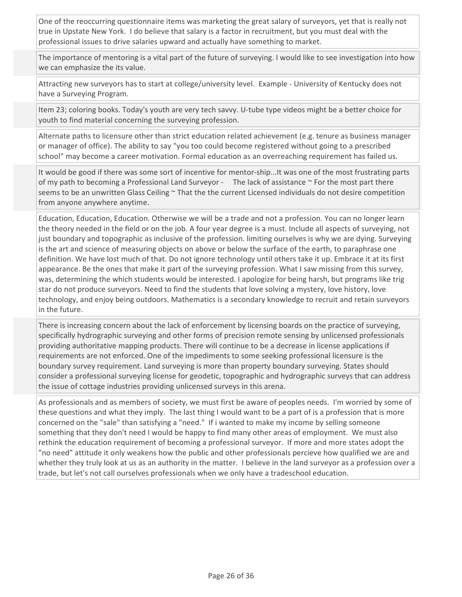One of the reoccurring questionnaire items was marketing the great salary of surveyors, yet that is really not true in Upstate New York. I do believe that salary is a factor in recruitment, but you must deal with the professional issues to drive salaries upward and actually have something to market.

The importance of mentoring is a vital part of the future of surveying. I would like to see investigation into how we can emphasize the its value.

Attracting new surveyors has to start at college/university level. Example - University of Kentucky does not have a Surveying Program.

Item 23; coloring books. Today's youth are very tech savvy. U-tube type videos might be a better choice for youth to find material concerning the surveying profession.

Alternate paths to licensure other than strict education related achievement (e.g. tenure as business manager or manager of office). The ability to say "you too could become registered without going to a prescribed school" may become a career motivation. Formal education as an overreaching requirement has failed us.

It would be good if there was some sort of incentive for mentor-ship...It was one of the most frustrating parts of my path to becoming a Professional Land Surveyor - The lack of assistance  $\sim$  For the most part there seems to be an unwritten Glass Ceiling ~ That the the current Licensed individuals do not desire competition from anyone anywhere anytime.

Education, Education, Education. Otherwise we will be a trade and not a profession. You can no longer learn the theory needed in the field or on the job. A four year degree is a must. Include all aspects of surveying, not just boundary and topographic as inclusive of the profession. limiting ourselves is why we are dying. Surveying is the art and science of measuring objects on above or below the surface of the earth, to paraphrase one definition. We have lost much of that. Do not ignore technology until others take it up. Embrace it at its first appearance. Be the ones that make it part of the surveying profession. What I saw missing from this survey, was, determining the which students would be interested. I apologize for being harsh, but programs like trig star do not produce surveyors. Need to find the students that love solving a mystery, love history, love technology, and enjoy being outdoors. Mathematics is a secondary knowledge to recruit and retain surveyors in the future.

There is increasing concern about the lack of enforcement by licensing boards on the practice of surveying, specifically hydrographic surveying and other forms of precision remote sensing by unlicensed professionals providing authoritative mapping products. There will continue to be a decrease in license applications if requirements are not enforced. One of the impediments to some seeking professional licensure is the boundary survey requirement. Land surveying is more than property boundary surveying. States should consider a professional surveying license for geodetic, topographic and hydrographic surveys that can address the issue of cottage industries providing unlicensed surveys in this arena.

As professionals and as members of society, we must first be aware of peoples needs. I'm worried by some of these questions and what they imply. The last thing I would want to be a part of is a profession that is more concerned on the "sale" than satisfying a "need." If i wanted to make my income by selling someone something that they don't need I would be happy to find many other areas of employment. We must also rethink the education requirement of becoming a professional surveyor. If more and more states adopt the "no need" attitude it only weakens how the public and other professionals percieve how qualified we are and whether they truly look at us as an authority in the matter. I believe in the land surveyor as a profession over a trade, but let's not call ourselves professionals when we only have a tradeschool education.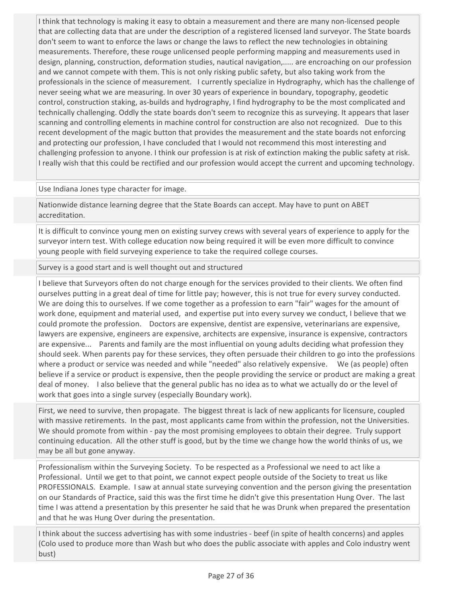I think that technology is making it easy to obtain a measurement and there are many non-licensed people that are collecting data that are under the description of a registered licensed land surveyor. The State boards don't seem to want to enforce the laws or change the laws to reflect the new technologies in obtaining measurements. Therefore, these rouge unlicensed people performing mapping and measurements used in design, planning, construction, deformation studies, nautical navigation,..... are encroaching on our profession and we cannot compete with them. This is not only risking public safety, but also taking work from the professionals in the science of measurement. I currently specialize in Hydrography, which has the challenge of never seeing what we are measuring. In over 30 years of experience in boundary, topography, geodetic control, construction staking, as-builds and hydrography, I find hydrography to be the most complicated and technically challenging. Oddly the state boards don't seem to recognize this as surveying. It appears that laser scanning and controlling elements in machine control for construction are also not recognized. Due to this recent development of the magic button that provides the measurement and the state boards not enforcing and protecting our profession, I have concluded that I would not recommend this most interesting and challenging profession to anyone. I think our profession is at risk of extinction making the public safety at risk. I really wish that this could be rectified and our profession would accept the current and upcoming technology.

Use Indiana Jones type character for image.

Nationwide distance learning degree that the State Boards can accept. May have to punt on ABET accreditation.

It is difficult to convince young men on existing survey crews with several years of experience to apply for the surveyor intern test. With college education now being required it will be even more difficult to convince young people with field surveying experience to take the required college courses.

Survey is a good start and is well thought out and structured

I believe that Surveyors often do not charge enough for the services provided to their clients. We often find ourselves putting in a great deal of time for little pay; however, this is not true for every survey conducted. We are doing this to ourselves. If we come together as a profession to earn "fair" wages for the amount of work done, equipment and material used, and expertise put into every survey we conduct, I believe that we could promote the profession. Doctors are expensive, dentist are expensive, veterinarians are expensive, lawyers are expensive, engineers are expensive, architects are expensive, insurance is expensive, contractors are expensive... Parents and family are the most influential on young adults deciding what profession they should seek. When parents pay for these services, they often persuade their children to go into the professions where a product or service was needed and while "needed" also relatively expensive. We (as people) often believe if a service or product is expensive, then the people providing the service or product are making a great deal of money. I also believe that the general public has no idea as to what we actually do or the level of work that goes into a single survey (especially Boundary work).

First, we need to survive, then propagate. The biggest threat is lack of new applicants for licensure, coupled with massive retirements. In the past, most applicants came from within the profession, not the Universities. We should promote from within - pay the most promising employees to obtain their degree. Truly support continuing education. All the other stuff is good, but by the time we change how the world thinks of us, we may be all but gone anyway.

Professionalism within the Surveying Society. To be respected as a Professional we need to act like a Professional. Until we get to that point, we cannot expect people outside of the Society to treat us like PROFESSIONALS. Example. I saw at annual state surveying convention and the person giving the presentation on our Standards of Practice, said this was the first time he didn't give this presentation Hung Over. The last time I was attend a presentation by this presenter he said that he was Drunk when prepared the presentation and that he was Hung Over during the presentation.

I think about the success advertising has with some industries - beef (in spite of health concerns) and apples (Colo used to produce more than Wash but who does the public associate with apples and Colo industry went bust)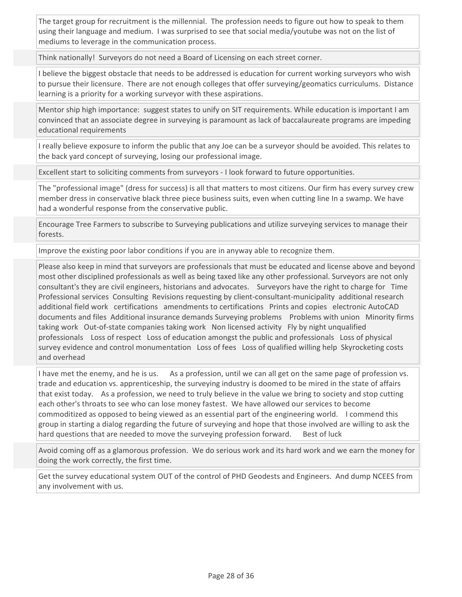The target group for recruitment is the millennial. The profession needs to figure out how to speak to them using their language and medium. I was surprised to see that social media/youtube was not on the list of mediums to leverage in the communication process.

Think nationally! Surveyors do not need a Board of Licensing on each street corner.

I believe the biggest obstacle that needs to be addressed is education for current working surveyors who wish to pursue their licensure. There are not enough colleges that offer surveying/geomatics curriculums. Distance learning is a priority for a working surveyor with these aspirations.

Mentor ship high importance: suggest states to unify on SIT requirements. While education is important I am convinced that an associate degree in surveying is paramount as lack of baccalaureate programs are impeding educational requirements

I really believe exposure to inform the public that any Joe can be a surveyor should be avoided. This relates to the back yard concept of surveying, losing our professional image.

Excellent start to soliciting comments from surveyors - I look forward to future opportunities.

The "professional image" (dress for success) is all that matters to most citizens. Our firm has every survey crew member dress in conservative black three piece business suits, even when cutting line In a swamp. We have had a wonderful response from the conservative public.

Encourage Tree Farmers to subscribe to Surveying publications and utilize surveying services to manage their forests.

Improve the existing poor labor conditions if you are in anyway able to recognize them.

Please also keep in mind that surveyors are professionals that must be educated and license above and beyond most other disciplined professionals as well as being taxed like any other professional. Surveyors are not only consultant's they are civil engineers, historians and advocates. Surveyors have the right to charge for Time Professional services Consulting Revisions requesting by client-consultant-municipality additional research additional field work certifications amendments to certifications Prints and copies electronic AutoCAD documents and files Additional insurance demands Surveying problems Problems with union Minority firms taking work Out-of-state companies taking work Non licensed activity Fly by night unqualified professionals Loss of respect Loss of education amongst the public and professionals Loss of physical survey evidence and control monumentation Loss of fees Loss of qualified willing help Skyrocketing costs and overhead

I have met the enemy, and he is us. As a profession, until we can all get on the same page of profession vs. trade and education vs. apprenticeship, the surveying industry is doomed to be mired in the state of affairs that exist today. As a profession, we need to truly believe in the value we bring to society and stop cutting each other's throats to see who can lose money fastest. We have allowed our services to become commoditized as opposed to being viewed as an essential part of the engineering world. I commend this group in starting a dialog regarding the future of surveying and hope that those involved are willing to ask the hard questions that are needed to move the surveying profession forward. Best of luck

Avoid coming off as a glamorous profession. We do serious work and its hard work and we earn the money for doing the work correctly, the first time.

Get the survey educational system OUT of the control of PHD Geodests and Engineers. And dump NCEES from any involvement with us.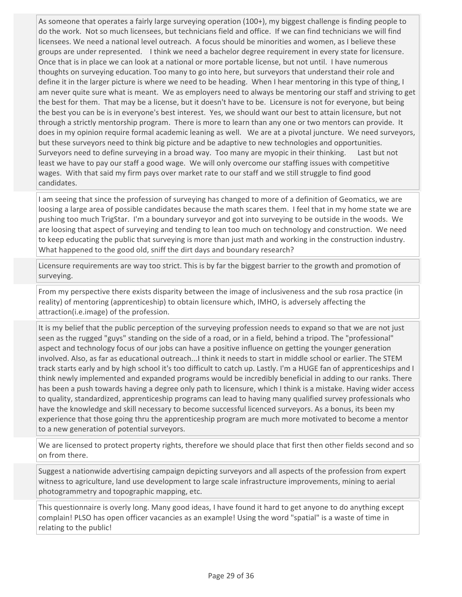As someone that operates a fairly large surveying operation (100+), my biggest challenge is finding people to do the work. Not so much licensees, but technicians field and office. If we can find technicians we will find licensees. We need a national level outreach. A focus should be minorities and women, as I believe these groups are under represented. I think we need a bachelor degree requirement in every state for licensure. Once that is in place we can look at a national or more portable license, but not until. I have numerous thoughts on surveying education. Too many to go into here, but surveyors that understand their role and define it in the larger picture is where we need to be heading. When I hear mentoring in this type of thing, I am never quite sure what is meant. We as employers need to always be mentoring our staff and striving to get the best for them. That may be a license, but it doesn't have to be. Licensure is not for everyone, but being the best you can be is in everyone's best interest. Yes, we should want our best to attain licensure, but not through a strictly mentorship program. There is more to learn than any one or two mentors can provide. It does in my opinion require formal academic leaning as well. We are at a pivotal juncture. We need surveyors, but these surveyors need to think big picture and be adaptive to new technologies and opportunities. Surveyors need to define surveying in a broad way. Too many are myopic in their thinking. Last but not least we have to pay our staff a good wage. We will only overcome our staffing issues with competitive wages. With that said my firm pays over market rate to our staff and we still struggle to find good candidates.

I am seeing that since the profession of surveying has changed to more of a definition of Geomatics, we are loosing a large area of possible candidates because the math scares them. I feel that in my home state we are pushing too much TrigStar. I'm a boundary surveyor and got into surveying to be outside in the woods. We are loosing that aspect of surveying and tending to lean too much on technology and construction. We need to keep educating the public that surveying is more than just math and working in the construction industry. What happened to the good old, sniff the dirt days and boundary research?

Licensure requirements are way too strict. This is by far the biggest barrier to the growth and promotion of surveying.

From my perspective there exists disparity between the image of inclusiveness and the sub rosa practice (in reality) of mentoring (apprenticeship) to obtain licensure which, IMHO, is adversely affecting the attraction(i.e.image) of the profession.

It is my belief that the public perception of the surveying profession needs to expand so that we are not just seen as the rugged "guys" standing on the side of a road, or in a field, behind a tripod. The "professional" aspect and technology focus of our jobs can have a positive influence on getting the younger generation involved. Also, as far as educational outreach...I think it needs to start in middle school or earlier. The STEM track starts early and by high school it's too difficult to catch up. Lastly. I'm a HUGE fan of apprenticeships and I think newly implemented and expanded programs would be incredibly beneficial in adding to our ranks. There has been a push towards having a degree only path to licensure, which I think is a mistake. Having wider access to quality, standardized, apprenticeship programs can lead to having many qualified survey professionals who have the knowledge and skill necessary to become successful licenced surveyors. As a bonus, its been my experience that those going thru the apprenticeship program are much more motivated to become a mentor to a new generation of potential surveyors.

We are licensed to protect property rights, therefore we should place that first then other fields second and so on from there.

Suggest a nationwide advertising campaign depicting surveyors and all aspects of the profession from expert witness to agriculture, land use development to large scale infrastructure improvements, mining to aerial photogrammetry and topographic mapping, etc.

This questionnaire is overly long. Many good ideas, I have found it hard to get anyone to do anything except complain! PLSO has open officer vacancies as an example! Using the word "spatial" is a waste of time in relating to the public!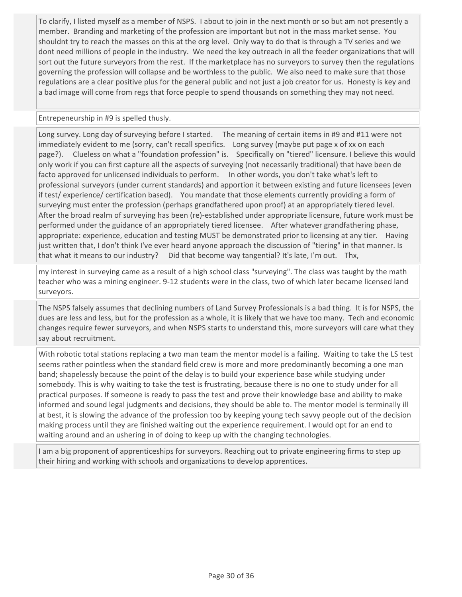To clarify, I listed myself as a member of NSPS. I about to join in the next month or so but am not presently a member. Branding and marketing of the profession are important but not in the mass market sense. You shouldnt try to reach the masses on this at the org level. Only way to do that is through a TV series and we dont need millions of people in the industry. We need the key outreach in all the feeder organizations that will sort out the future surveyors from the rest. If the marketplace has no surveyors to survey then the regulations governing the profession will collapse and be worthless to the public. We also need to make sure that those regulations are a clear positive plus for the general public and not just a job creator for us. Honesty is key and a bad image will come from regs that force people to spend thousands on something they may not need.

## Entrepeneurship in #9 is spelled thusly.

Long survey. Long day of surveying before I started. The meaning of certain items in #9 and #11 were not immediately evident to me (sorry, can't recall specifics. Long survey (maybe put page x of xx on each page?). Clueless on what a "foundation profession" is. Specifically on "tiered" licensure. I believe this would only work if you can first capture all the aspects of surveying (not necessarily traditional) that have been de facto approved for unlicensed individuals to perform. In other words, you don't take what's left to professional surveyors (under current standards) and apportion it between existing and future licensees (even if test/ experience/ certification based). You mandate that those elements currently providing a form of surveying must enter the profession (perhaps grandfathered upon proof) at an appropriately tiered level. After the broad realm of surveying has been (re)-established under appropriate licensure, future work must be performed under the guidance of an appropriately tiered licensee. After whatever grandfathering phase, appropriate: experience, education and testing MUST be demonstrated prior to licensing at any tier. Having just written that, I don't think I've ever heard anyone approach the discussion of "tiering" in that manner. Is that what it means to our industry? Did that become way tangential? It's late, I'm out. Thx,

my interest in surveying came as a result of a high school class "surveying". The class was taught by the math teacher who was a mining engineer. 9-12 students were in the class, two of which later became licensed land surveyors.

The NSPS falsely assumes that declining numbers of Land Survey Professionals is a bad thing. It is for NSPS, the dues are less and less, but for the profession as a whole, it is likely that we have too many. Tech and economic changes require fewer surveyors, and when NSPS starts to understand this, more surveyors will care what they say about recruitment.

With robotic total stations replacing a two man team the mentor model is a failing. Waiting to take the LS test seems rather pointless when the standard field crew is more and more predominantly becoming a one man band; shapelessly because the point of the delay is to build your experience base while studying under somebody. This is why waiting to take the test is frustrating, because there is no one to study under for all practical purposes. If someone is ready to pass the test and prove their knowledge base and ability to make informed and sound legal judgments and decisions, they should be able to. The mentor model is terminally ill at best, it is slowing the advance of the profession too by keeping young tech savvy people out of the decision making process until they are finished waiting out the experience requirement. I would opt for an end to waiting around and an ushering in of doing to keep up with the changing technologies.

I am a big proponent of apprenticeships for surveyors. Reaching out to private engineering firms to step up their hiring and working with schools and organizations to develop apprentices.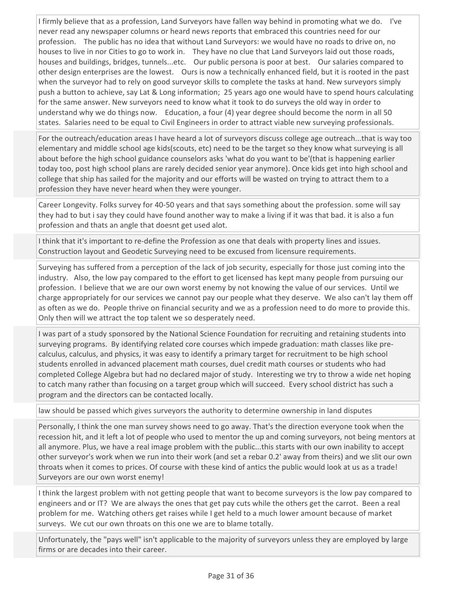I firmly believe that as a profession, Land Surveyors have fallen way behind in promoting what we do. I've never read any newspaper columns or heard news reports that embraced this countries need for our profession. The public has no idea that without Land Surveyors: we would have no roads to drive on, no houses to live in nor Cities to go to work in. They have no clue that Land Surveyors laid out those roads, houses and buildings, bridges, tunnels...etc. Our public persona is poor at best. Our salaries compared to other design enterprises are the lowest. Ours is now a technically enhanced field, but it is rooted in the past when the surveyor had to rely on good surveyor skills to complete the tasks at hand. New surveyors simply push a button to achieve, say Lat & Long information; 25 years ago one would have to spend hours calculating for the same answer. New surveyors need to know what it took to do surveys the old way in order to understand why we do things now. Education, a four (4) year degree should become the norm in all 50 states. Salaries need to be equal to Civil Engineers in order to attract viable new surveying professionals.

For the outreach/education areas I have heard a lot of surveyors discuss college age outreach...that is way too elementary and middle school age kids(scouts, etc) need to be the target so they know what surveying is all about before the high school guidance counselors asks 'what do you want to be'(that is happening earlier today too, post high school plans are rarely decided senior year anymore). Once kids get into high school and college that ship has sailed for the majority and our efforts will be wasted on trying to attract them to a profession they have never heard when they were younger.

Career Longevity. Folks survey for 40-50 years and that says something about the profession. some will say they had to but i say they could have found another way to make a living if it was that bad. it is also a fun profession and thats an angle that doesnt get used alot.

I think that it's important to re-define the Profession as one that deals with property lines and issues. Construction layout and Geodetic Surveying need to be excused from licensure requirements.

Surveying has suffered from a perception of the lack of job security, especially for those just coming into the industry. Also, the low pay compared to the effort to get licensed has kept many people from pursuing our profession. I believe that we are our own worst enemy by not knowing the value of our services. Until we charge appropriately for our services we cannot pay our people what they deserve. We also can't lay them off as often as we do. People thrive on financial security and we as a profession need to do more to provide this. Only then will we attract the top talent we so desperately need.

I was part of a study sponsored by the National Science Foundation for recruiting and retaining students into surveying programs. By identifying related core courses which impede graduation: math classes like precalculus, calculus, and physics, it was easy to identify a primary target for recruitment to be high school students enrolled in advanced placement math courses, duel credit math courses or students who had completed College Algebra but had no declared major of study. Interesting we try to throw a wide net hoping to catch many rather than focusing on a target group which will succeed. Every school district has such a program and the directors can be contacted locally.

law should be passed which gives surveyors the authority to determine ownership in land disputes

Personally, I think the one man survey shows need to go away. That's the direction everyone took when the recession hit, and it left a lot of people who used to mentor the up and coming surveyors, not being mentors at all anymore. Plus, we have a real image problem with the public...this starts with our own inability to accept other surveyor's work when we run into their work (and set a rebar 0.2' away from theirs) and we slit our own throats when it comes to prices. Of course with these kind of antics the public would look at us as a trade! Surveyors are our own worst enemy!

I think the largest problem with not getting people that want to become surveyors is the low pay compared to engineers and or IT? We are always the ones that get pay cuts while the others get the carrot. Been a real problem for me. Watching others get raises while I get held to a much lower amount because of market surveys. We cut our own throats on this one we are to blame totally.

Unfortunately, the "pays well" isn't applicable to the majority of surveyors unless they are employed by large firms or are decades into their career.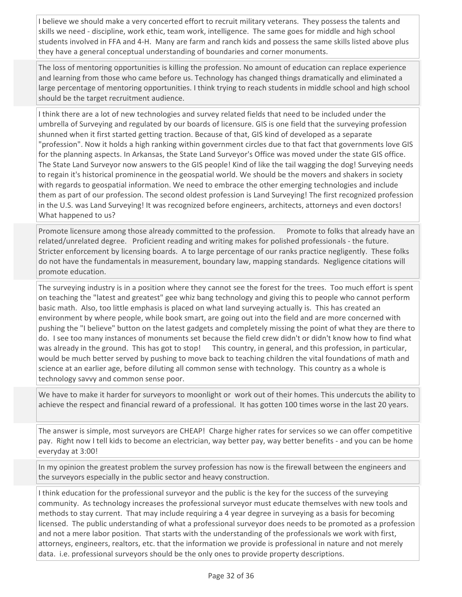I believe we should make a very concerted effort to recruit military veterans. They possess the talents and skills we need - discipline, work ethic, team work, intelligence. The same goes for middle and high school students involved in FFA and 4-H. Many are farm and ranch kids and possess the same skills listed above plus they have a general conceptual understanding of boundaries and corner monuments.

The loss of mentoring opportunities is killing the profession. No amount of education can replace experience and learning from those who came before us. Technology has changed things dramatically and eliminated a large percentage of mentoring opportunities. I think trying to reach students in middle school and high school should be the target recruitment audience.

I think there are a lot of new technologies and survey related fields that need to be included under the umbrella of Surveying and regulated by our boards of licensure. GIS is one field that the surveying profession shunned when it first started getting traction. Because of that, GIS kind of developed as a separate "profession". Now it holds a high ranking within government circles due to that fact that governments love GIS for the planning aspects. In Arkansas, the State Land Surveyor's Office was moved under the state GIS office. The State Land Surveyor now answers to the GIS people! Kind of like the tail wagging the dog! Surveying needs to regain it's historical prominence in the geospatial world. We should be the movers and shakers in society with regards to geospatial information. We need to embrace the other emerging technologies and include them as part of our profession. The second oldest profession is Land Surveying! The first recognized profession in the U.S. was Land Surveying! It was recognized before engineers, architects, attorneys and even doctors! What happened to us?

Promote licensure among those already committed to the profession. Promote to folks that already have an related/unrelated degree. Proficient reading and writing makes for polished professionals - the future. Stricter enforcement by licensing boards. A to large percentage of our ranks practice negligently. These folks do not have the fundamentals in measurement, boundary law, mapping standards. Negligence citations will promote education.

The surveying industry is in a position where they cannot see the forest for the trees. Too much effort is spent on teaching the "latest and greatest" gee whiz bang technology and giving this to people who cannot perform basic math. Also, too little emphasis is placed on what land surveying actually is. This has created an environment by where people, while book smart, are going out into the field and are more concerned with pushing the "I believe" button on the latest gadgets and completely missing the point of what they are there to do. I see too many instances of monuments set because the field crew didn't or didn't know how to find what was already in the ground. This has got to stop! This country, in general, and this profession, in particular, would be much better served by pushing to move back to teaching children the vital foundations of math and science at an earlier age, before diluting all common sense with technology. This country as a whole is technology savvy and common sense poor.

We have to make it harder for surveyors to moonlight or work out of their homes. This undercuts the ability to achieve the respect and financial reward of a professional. It has gotten 100 times worse in the last 20 years.

The answer is simple, most surveyors are CHEAP! Charge higher rates for services so we can offer competitive pay. Right now I tell kids to become an electrician, way better pay, way better benefits - and you can be home everyday at 3:00!

In my opinion the greatest problem the survey profession has now is the firewall between the engineers and the surveyors especially in the public sector and heavy construction.

I think education for the professional surveyor and the public is the key for the success of the surveying community. As technology increases the professional surveyor must educate themselves with new tools and methods to stay current. That may include requiring a 4 year degree in surveying as a basis for becoming licensed. The public understanding of what a professional surveyor does needs to be promoted as a profession and not a mere labor position. That starts with the understanding of the professionals we work with first, attorneys, engineers, realtors, etc. that the information we provide is professional in nature and not merely data. i.e. professional surveyors should be the only ones to provide property descriptions.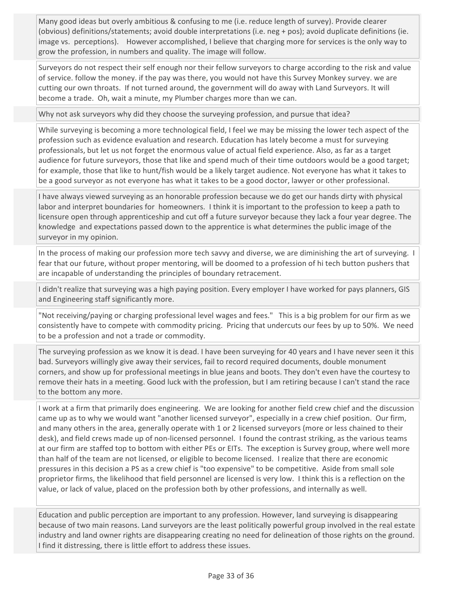Many good ideas but overly ambitious & confusing to me (i.e. reduce length of survey). Provide clearer (obvious) definitions/statements; avoid double interpretations (i.e. neg + pos); avoid duplicate definitions (ie. image vs. perceptions). However accomplished, I believe that charging more for services is the only way to grow the profession, in numbers and quality. The image will follow.

Surveyors do not respect their self enough nor their fellow surveyors to charge according to the risk and value of service. follow the money. if the pay was there, you would not have this Survey Monkey survey. we are cutting our own throats. If not turned around, the government will do away with Land Surveyors. It will become a trade. Oh, wait a minute, my Plumber charges more than we can.

Why not ask surveyors why did they choose the surveying profession, and pursue that idea?

While surveying is becoming a more technological field, I feel we may be missing the lower tech aspect of the profession such as evidence evaluation and research. Education has lately become a must for surveying professionals, but let us not forget the enormous value of actual field experience. Also, as far as a target audience for future surveyors, those that like and spend much of their time outdoors would be a good target; for example, those that like to hunt/fish would be a likely target audience. Not everyone has what it takes to be a good surveyor as not everyone has what it takes to be a good doctor, lawyer or other professional.

I have always viewed surveying as an honorable profession because we do get our hands dirty with physical labor and interpret boundaries for homeowners. I think it is important to the profession to keep a path to licensure open through apprenticeship and cut off a future surveyor because they lack a four year degree. The knowledge and expectations passed down to the apprentice is what determines the public image of the surveyor in my opinion.

In the process of making our profession more tech savvy and diverse, we are diminishing the art of surveying. I fear that our future, without proper mentoring, will be doomed to a profession of hi tech button pushers that are incapable of understanding the principles of boundary retracement.

I didn't realize that surveying was a high paying position. Every employer I have worked for pays planners, GIS and Engineering staff significantly more.

"Not receiving/paying or charging professional level wages and fees." This is a big problem for our firm as we consistently have to compete with commodity pricing. Pricing that undercuts our fees by up to 50%. We need to be a profession and not a trade or commodity.

The surveying profession as we know it is dead. I have been surveying for 40 years and I have never seen it this bad. Surveyors willingly give away their services, fail to record required documents, double monument corners, and show up for professional meetings in blue jeans and boots. They don't even have the courtesy to remove their hats in a meeting. Good luck with the profession, but I am retiring because I can't stand the race to the bottom any more.

I work at a firm that primarily does engineering. We are looking for another field crew chief and the discussion came up as to why we would want "another licensed surveyor", especially in a crew chief position. Our firm, and many others in the area, generally operate with 1 or 2 licensed surveyors (more or less chained to their desk), and field crews made up of non-licensed personnel. I found the contrast striking, as the various teams at our firm are staffed top to bottom with either PEs or EITs. The exception is Survey group, where well more than half of the team are not licensed, or eligible to become licensed. I realize that there are economic pressures in this decision a PS as a crew chief is "too expensive" to be competitive. Aside from small sole proprietor firms, the likelihood that field personnel are licensed is very low. I think this is a reflection on the value, or lack of value, placed on the profession both by other professions, and internally as well.

Education and public perception are important to any profession. However, land surveying is disappearing because of two main reasons. Land surveyors are the least politically powerful group involved in the real estate industry and land owner rights are disappearing creating no need for delineation of those rights on the ground. I find it distressing, there is little effort to address these issues.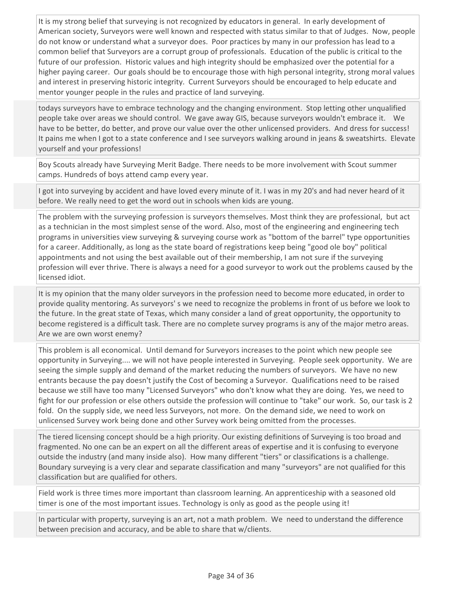It is my strong belief that surveying is not recognized by educators in general. In early development of American society, Surveyors were well known and respected with status similar to that of Judges. Now, people do not know or understand what a surveyor does. Poor practices by many in our profession has lead to a common belief that Surveyors are a corrupt group of professionals. Education of the public is critical to the future of our profession. Historic values and high integrity should be emphasized over the potential for a higher paying career. Our goals should be to encourage those with high personal integrity, strong moral values and interest in preserving historic integrity. Current Surveyors should be encouraged to help educate and mentor younger people in the rules and practice of land surveying.

todays surveyors have to embrace technology and the changing environment. Stop letting other unqualified people take over areas we should control. We gave away GIS, because surveyors wouldn't embrace it. We have to be better, do better, and prove our value over the other unlicensed providers. And dress for success! It pains me when I got to a state conference and I see surveyors walking around in jeans & sweatshirts. Elevate yourself and your professions!

Boy Scouts already have Surveying Merit Badge. There needs to be more involvement with Scout summer camps. Hundreds of boys attend camp every year.

I got into surveying by accident and have loved every minute of it. I was in my 20's and had never heard of it before. We really need to get the word out in schools when kids are young.

The problem with the surveying profession is surveyors themselves. Most think they are professional, but act as a technician in the most simplest sense of the word. Also, most of the engineering and engineering tech programs in universities view surveying & surveying course work as "bottom of the barrel" type opportunities for a career. Additionally, as long as the state board of registrations keep being "good ole boy" political appointments and not using the best available out of their membership, I am not sure if the surveying profession will ever thrive. There is always a need for a good surveyor to work out the problems caused by the licensed idiot.

It is my opinion that the many older surveyors in the profession need to become more educated, in order to provide quality mentoring. As surveyors' s we need to recognize the problems in front of us before we look to the future. In the great state of Texas, which many consider a land of great opportunity, the opportunity to become registered is a difficult task. There are no complete survey programs is any of the major metro areas. Are we are own worst enemy?

This problem is all economical. Until demand for Surveyors increases to the point which new people see opportunity in Surveying.... we will not have people interested in Surveying. People seek opportunity. We are seeing the simple supply and demand of the market reducing the numbers of surveyors. We have no new entrants because the pay doesn't justify the Cost of becoming a Surveyor. Qualifications need to be raised because we still have too many "Licensed Surveyors" who don't know what they are doing. Yes, we need to fight for our profession or else others outside the profession will continue to "take" our work. So, our task is 2 fold. On the supply side, we need less Surveyors, not more. On the demand side, we need to work on unlicensed Survey work being done and other Survey work being omitted from the processes.

The tiered licensing concept should be a high priority. Our existing definitions of Surveying is too broad and fragmented. No one can be an expert on all the different areas of expertise and it is confusing to everyone outside the industry (and many inside also). How many different "tiers" or classifications is a challenge. Boundary surveying is a very clear and separate classification and many "surveyors" are not qualified for this classification but are qualified for others.

Field work is three times more important than classroom learning. An apprenticeship with a seasoned old timer is one of the most important issues. Technology is only as good as the people using it!

In particular with property, surveying is an art, not a math problem. We need to understand the difference between precision and accuracy, and be able to share that w/clients.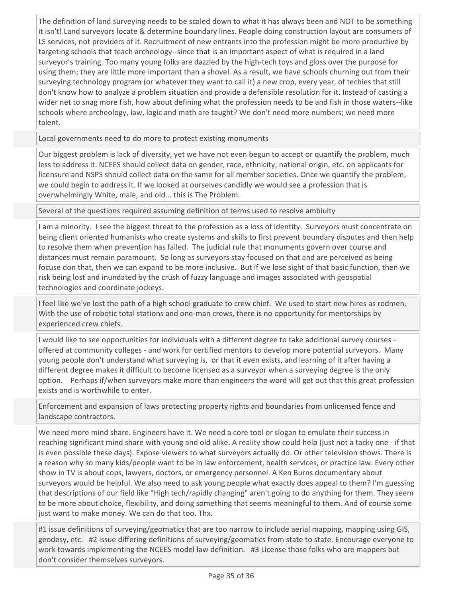The definition of land surveying needs to be scaled down to what it has always been and NOT to be something it isn't! Land surveyors locate & determine boundary lines. People doing construction layout are consumers of LS services, not providers of it. Recruitment of new entrants into the profession might be more productive by targeting schools that teach archeology--since that is an important aspect of what is required in a land surveyor's training. Too many young folks are dazzled by the high-tech toys and gloss over the purpose for using them; they are little more important than a shovel. As a result, we have schools churning out from their surveying technology program (or whatever they want to call it) a new crop, every year, of techies that still don't know how to analyze a problem situation and provide a defensible resolution for it. Instead of casting a wider net to snag more fish, how about defining what the profession needs to be and fish in those waters--like schools where archeology, law, logic and math are taught? We don't need more numbers; we need more talent.

Local governments need to do more to protect existing monuments

Our biggest problem is lack of diversity, yet we have not even begun to accept or quantify the problem, much less to address it. NCEES should collect data on gender, race, ethnicity, national origin, etc. on applicants for licensure and NSPS should collect data on the same for all member societies. Once we quantify the problem, we could begin to address it. If we looked at ourselves candidly we would see a profession that is overwhelmingly White, male, and old... this is The Problem.

Several of the questions required assuming definition of terms used to resolve ambiuity

I am a minority. I see the biggest threat to the profession as a loss of identity. Surveyors must concentrate on being client oriented humanists who create systems and skills to first prevent boundary disputes and then help to resolve them when prevention has failed. The judicial rule that monuments govern over course and distances must remain paramount. So long as surveyors stay focused on that and are perceived as being focuse don that, then we can expand to be more inclusive. But if we lose sight of that basic function, then we risk being lost and inundated by the crush of fuzzy language and images associated with geospatial technologies and coordinate jockeys.

I feel like we've lost the path of a high school graduate to crew chief. We used to start new hires as rodmen. With the use of robotic total stations and one-man crews, there is no opportunity for mentorships by experienced crew chiefs.

I would like to see opportunities for individuals with a different degree to take additional survey courses offered at community colleges - and work for certified mentors to develop more potential surveyors. Many young people don't understand what surveying is, or that it even exists, and learning of it after having a different degree makes it difficult to become licensed as a surveyor when a surveying degree is the only option. Perhaps if/when surveyors make more than engineers the word will get out that this great profession exists and is worthwhile to enter.

Enforcement and expansion of laws protecting property rights and boundaries from unlicensed fence and landscape contractors.

We need more mind share. Engineers have it. We need a core tool or slogan to emulate their success in reaching significant mind share with young and old alike. A reality show could help (just not a tacky one - if that is even possible these days). Expose viewers to what surveyors actually do. Or other television shows. There is a reason why so many kids/people want to be in law enforcement, health services, or practice law. Every other show in TV is about cops, lawyers, doctors, or emergency personnel. A Ken Burns documentary about surveyors would be helpful. We also need to ask young people what exactly does appeal to them? I'm guessing that descriptions of our field like "High tech/rapidly changing" aren't going to do anything for them. They seem to be more about choice, flexibility, and doing something that seems meaningful to them. And of course some just want to make money. We can do that too. Thx.

#1 issue definitions of surveying/geomatics that are too narrow to include aerial mapping, mapping using GIS, geodesy, etc. #2 issue differing definitions of surveying/geomatics from state to state. Encourage everyone to work towards implementing the NCEES model law definition. #3 License those folks who are mappers but don't consider themselves surveyors.